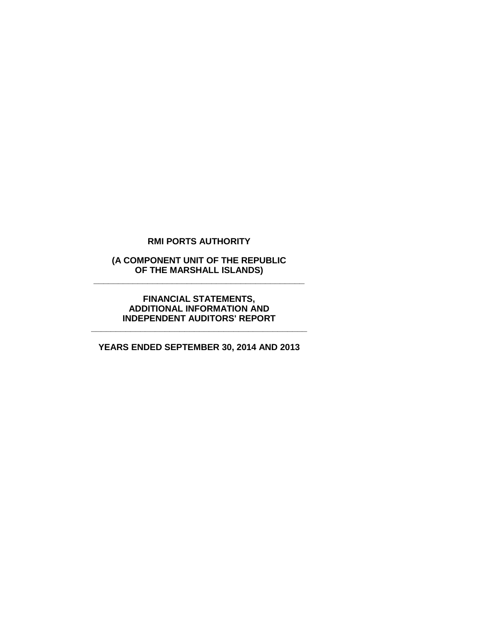## **RMI PORTS AUTHORITY**

**(A COMPONENT UNIT OF THE REPUBLIC OF THE MARSHALL ISLANDS) \_\_\_\_\_\_\_\_\_\_\_\_\_\_\_\_\_\_\_\_\_\_\_\_\_\_\_\_\_\_\_\_\_\_\_\_\_\_\_\_\_\_\_**

### **FINANCIAL STATEMENTS, ADDITIONAL INFORMATION AND INDEPENDENT AUDITORS' REPORT**

**YEARS ENDED SEPTEMBER 30, 2014 AND 2013**

**\_\_\_\_\_\_\_\_\_\_\_\_\_\_\_\_\_\_\_\_\_\_\_\_\_\_\_\_\_\_\_\_\_\_\_\_\_\_\_\_\_\_\_\_**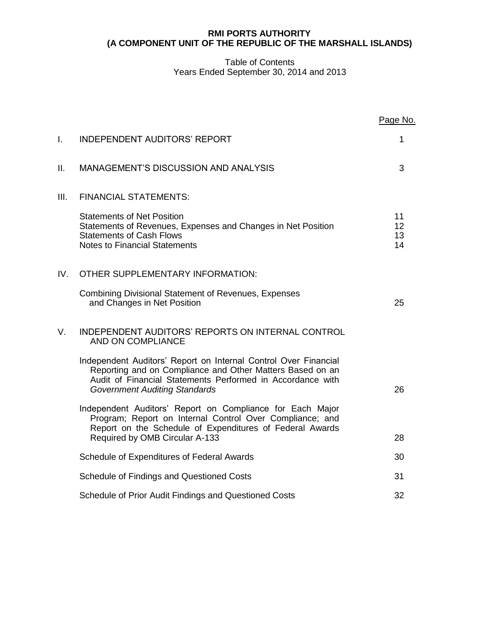### Table of Contents Years Ended September 30, 2014 and 2013

|      |                                                                                                                                                                                                                                    | Page No.             |
|------|------------------------------------------------------------------------------------------------------------------------------------------------------------------------------------------------------------------------------------|----------------------|
| I.   | <b>INDEPENDENT AUDITORS' REPORT</b>                                                                                                                                                                                                | 1                    |
| ΙΙ.  | MANAGEMENT'S DISCUSSION AND ANALYSIS                                                                                                                                                                                               | 3                    |
| III. | <b>FINANCIAL STATEMENTS:</b>                                                                                                                                                                                                       |                      |
|      | <b>Statements of Net Position</b><br>Statements of Revenues, Expenses and Changes in Net Position<br><b>Statements of Cash Flows</b><br><b>Notes to Financial Statements</b>                                                       | 11<br>12<br>13<br>14 |
| IV.  | OTHER SUPPLEMENTARY INFORMATION:                                                                                                                                                                                                   |                      |
|      | Combining Divisional Statement of Revenues, Expenses<br>and Changes in Net Position                                                                                                                                                | 25                   |
| V.   | INDEPENDENT AUDITORS' REPORTS ON INTERNAL CONTROL<br>AND ON COMPLIANCE                                                                                                                                                             |                      |
|      | Independent Auditors' Report on Internal Control Over Financial<br>Reporting and on Compliance and Other Matters Based on an<br>Audit of Financial Statements Performed in Accordance with<br><b>Government Auditing Standards</b> | 26                   |
|      | Independent Auditors' Report on Compliance for Each Major<br>Program; Report on Internal Control Over Compliance; and<br>Report on the Schedule of Expenditures of Federal Awards<br>Required by OMB Circular A-133                | 28                   |
|      | Schedule of Expenditures of Federal Awards                                                                                                                                                                                         | 30                   |
|      | <b>Schedule of Findings and Questioned Costs</b>                                                                                                                                                                                   | 31                   |
|      | Schedule of Prior Audit Findings and Questioned Costs                                                                                                                                                                              | 32                   |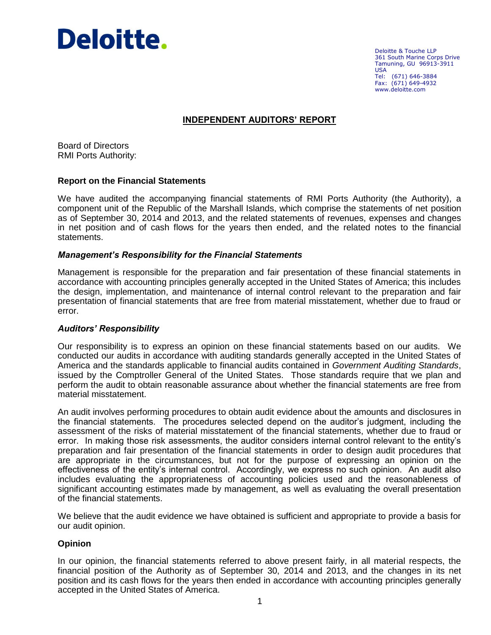

Deloitte & Touche LLP 361 South Marine Corps Drive Tamuning, GU 96913-3911 USA Tel: (671) 646-3884 Fax: (671) 649-4932 www.deloitte.com

## **INDEPENDENT AUDITORS' REPORT**

Board of Directors RMI Ports Authority:

### **Report on the Financial Statements**

We have audited the accompanying financial statements of RMI Ports Authority (the Authority), a component unit of the Republic of the Marshall Islands, which comprise the statements of net position as of September 30, 2014 and 2013, and the related statements of revenues, expenses and changes in net position and of cash flows for the years then ended, and the related notes to the financial statements.

### *Management's Responsibility for the Financial Statements*

Management is responsible for the preparation and fair presentation of these financial statements in accordance with accounting principles generally accepted in the United States of America; this includes the design, implementation, and maintenance of internal control relevant to the preparation and fair presentation of financial statements that are free from material misstatement, whether due to fraud or error.

### *Auditors' Responsibility*

Our responsibility is to express an opinion on these financial statements based on our audits. We conducted our audits in accordance with auditing standards generally accepted in the United States of America and the standards applicable to financial audits contained in *Government Auditing Standards*, issued by the Comptroller General of the United States. Those standards require that we plan and perform the audit to obtain reasonable assurance about whether the financial statements are free from material misstatement.

An audit involves performing procedures to obtain audit evidence about the amounts and disclosures in the financial statements. The procedures selected depend on the auditor's judgment, including the assessment of the risks of material misstatement of the financial statements, whether due to fraud or error. In making those risk assessments, the auditor considers internal control relevant to the entity's preparation and fair presentation of the financial statements in order to design audit procedures that are appropriate in the circumstances, but not for the purpose of expressing an opinion on the effectiveness of the entity's internal control. Accordingly, we express no such opinion. An audit also includes evaluating the appropriateness of accounting policies used and the reasonableness of significant accounting estimates made by management, as well as evaluating the overall presentation of the financial statements.

We believe that the audit evidence we have obtained is sufficient and appropriate to provide a basis for our audit opinion.

### **Opinion**

In our opinion, the financial statements referred to above present fairly, in all material respects, the financial position of the Authority as of September 30, 2014 and 2013, and the changes in its net position and its cash flows for the years then ended in accordance with accounting principles generally accepted in the United States of America.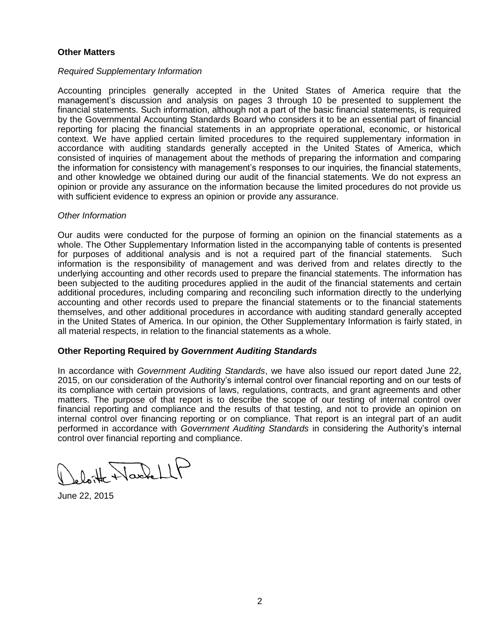### **Other Matters**

### *Required Supplementary Information*

Accounting principles generally accepted in the United States of America require that the management's discussion and analysis on pages 3 through 10 be presented to supplement the financial statements. Such information, although not a part of the basic financial statements, is required by the Governmental Accounting Standards Board who considers it to be an essential part of financial reporting for placing the financial statements in an appropriate operational, economic, or historical context. We have applied certain limited procedures to the required supplementary information in accordance with auditing standards generally accepted in the United States of America, which consisted of inquiries of management about the methods of preparing the information and comparing the information for consistency with management's responses to our inquiries, the financial statements, and other knowledge we obtained during our audit of the financial statements. We do not express an opinion or provide any assurance on the information because the limited procedures do not provide us with sufficient evidence to express an opinion or provide any assurance.

### *Other Information*

Our audits were conducted for the purpose of forming an opinion on the financial statements as a whole. The Other Supplementary Information listed in the accompanying table of contents is presented for purposes of additional analysis and is not a required part of the financial statements. Such information is the responsibility of management and was derived from and relates directly to the underlying accounting and other records used to prepare the financial statements. The information has been subjected to the auditing procedures applied in the audit of the financial statements and certain additional procedures, including comparing and reconciling such information directly to the underlying accounting and other records used to prepare the financial statements or to the financial statements themselves, and other additional procedures in accordance with auditing standard generally accepted in the United States of America. In our opinion, the Other Supplementary Information is fairly stated, in all material respects, in relation to the financial statements as a whole.

### **Other Reporting Required by** *Government Auditing Standards*

In accordance with *Government Auditing Standards*, we have also issued our report dated June 22, 2015, on our consideration of the Authority's internal control over financial reporting and on our tests of its compliance with certain provisions of laws, regulations, contracts, and grant agreements and other matters. The purpose of that report is to describe the scope of our testing of internal control over financial reporting and compliance and the results of that testing, and not to provide an opinion on internal control over financing reporting or on compliance. That report is an integral part of an audit performed in accordance with *Government Auditing Standards* in considering the Authority's internal control over financial reporting and compliance.

eloite Nachell

June 22, 2015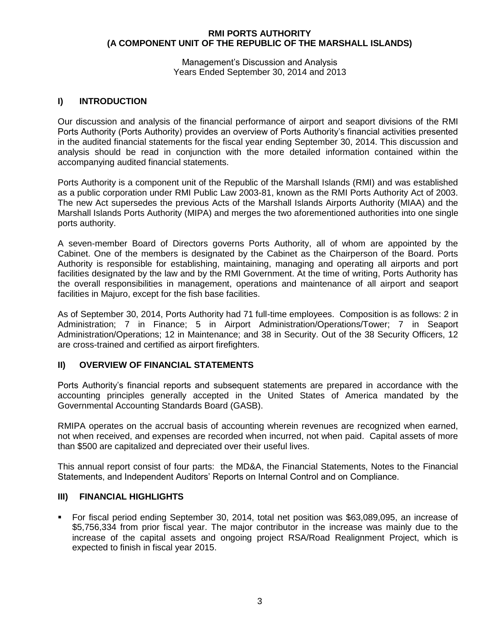Management's Discussion and Analysis Years Ended September 30, 2014 and 2013

# **I) INTRODUCTION**

Our discussion and analysis of the financial performance of airport and seaport divisions of the RMI Ports Authority (Ports Authority) provides an overview of Ports Authority's financial activities presented in the audited financial statements for the fiscal year ending September 30, 2014. This discussion and analysis should be read in conjunction with the more detailed information contained within the accompanying audited financial statements.

Ports Authority is a component unit of the Republic of the Marshall Islands (RMI) and was established as a public corporation under RMI Public Law 2003-81, known as the RMI Ports Authority Act of 2003. The new Act supersedes the previous Acts of the Marshall Islands Airports Authority (MIAA) and the Marshall Islands Ports Authority (MIPA) and merges the two aforementioned authorities into one single ports authority.

A seven-member Board of Directors governs Ports Authority, all of whom are appointed by the Cabinet. One of the members is designated by the Cabinet as the Chairperson of the Board. Ports Authority is responsible for establishing, maintaining, managing and operating all airports and port facilities designated by the law and by the RMI Government. At the time of writing, Ports Authority has the overall responsibilities in management, operations and maintenance of all airport and seaport facilities in Majuro, except for the fish base facilities.

As of September 30, 2014, Ports Authority had 71 full-time employees. Composition is as follows: 2 in Administration; 7 in Finance; 5 in Airport Administration/Operations/Tower; 7 in Seaport Administration/Operations; 12 in Maintenance; and 38 in Security. Out of the 38 Security Officers, 12 are cross-trained and certified as airport firefighters.

## **II) OVERVIEW OF FINANCIAL STATEMENTS**

Ports Authority's financial reports and subsequent statements are prepared in accordance with the accounting principles generally accepted in the United States of America mandated by the Governmental Accounting Standards Board (GASB).

RMIPA operates on the accrual basis of accounting wherein revenues are recognized when earned, not when received, and expenses are recorded when incurred, not when paid. Capital assets of more than \$500 are capitalized and depreciated over their useful lives.

This annual report consist of four parts: the MD&A, the Financial Statements, Notes to the Financial Statements, and Independent Auditors' Reports on Internal Control and on Compliance.

### **III) FINANCIAL HIGHLIGHTS**

 For fiscal period ending September 30, 2014, total net position was \$63,089,095, an increase of \$5,756,334 from prior fiscal year. The major contributor in the increase was mainly due to the increase of the capital assets and ongoing project RSA/Road Realignment Project, which is expected to finish in fiscal year 2015.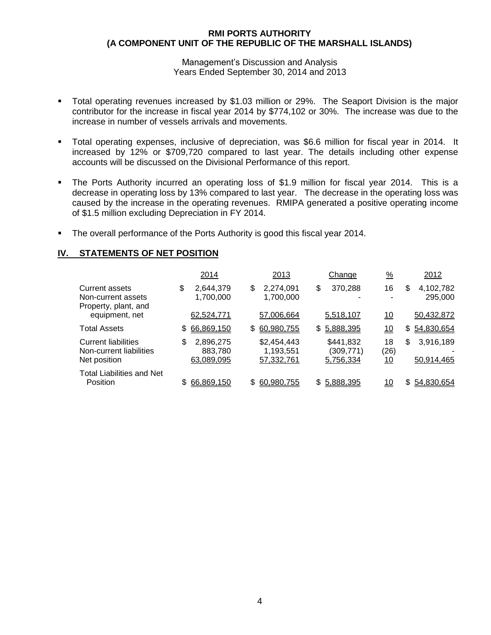### Management's Discussion and Analysis Years Ended September 30, 2014 and 2013

- Total operating revenues increased by \$1.03 million or 29%. The Seaport Division is the major contributor for the increase in fiscal year 2014 by \$774,102 or 30%. The increase was due to the increase in number of vessels arrivals and movements.
- Total operating expenses, inclusive of depreciation, was \$6.6 million for fiscal year in 2014. It increased by 12% or \$709,720 compared to last year. The details including other expense accounts will be discussed on the Divisional Performance of this report.
- The Ports Authority incurred an operating loss of \$1.9 million for fiscal year 2014. This is a decrease in operating loss by 13% compared to last year. The decrease in the operating loss was caused by the increase in the operating revenues. RMIPA generated a positive operating income of \$1.5 million excluding Depreciation in FY 2014.
- The overall performance of the Ports Authority is good this fiscal year 2014.

# **IV. STATEMENTS OF NET POSITION**

|                                                                       |    | 2014                               | 2013                                   |    | Change                              | $\frac{9}{6}$            |     | 2012                    |
|-----------------------------------------------------------------------|----|------------------------------------|----------------------------------------|----|-------------------------------------|--------------------------|-----|-------------------------|
| Current assets<br>Non-current assets<br>Property, plant, and          | S  | 2,644,379<br>1,700,000             | \$<br>2,274,091<br>1,700,000           | \$ | 370,288                             | 16<br>٠                  | S   | 4,102,782<br>295,000    |
| equipment, net                                                        |    | 62,524,771                         | 57,006,664                             |    | 5,518,107                           | 10                       |     | 50,432,872              |
| <b>Total Assets</b>                                                   |    | 66,869,150                         | \$<br>60,980,755                       | \$ | 5,888,395                           | $\underline{10}$         | \$. | 54,830,654              |
| <b>Current liabilities</b><br>Non-current liabilities<br>Net position | \$ | 2,896,275<br>883,780<br>63,089,095 | \$2,454,443<br>1,193,551<br>57,332,761 |    | \$441,832<br>(309,771)<br>5,756,334 | 18<br>(26)<br><u> 10</u> | \$  | 3,916,189<br>50,914,465 |
| <b>Total Liabilities and Net</b><br>Position                          |    | 66,869,150                         | 60,980,755                             | S  | 5,888,395                           | <u> 10</u>               | S   | 54,830,654              |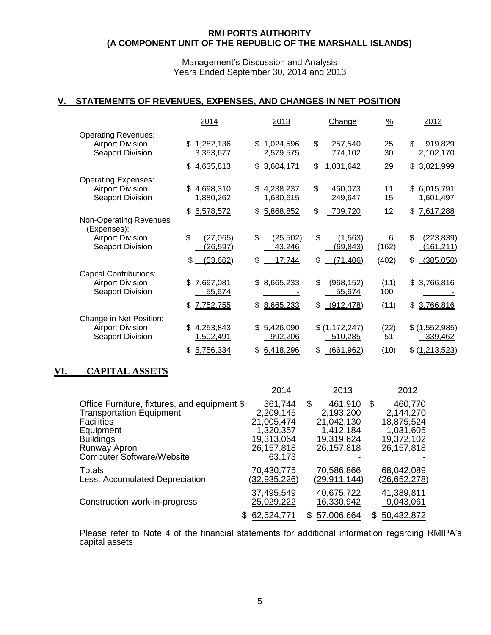Management's Discussion and Analysis Years Ended September 30, 2014 and 2013

## **V. STATEMENTS OF REVENUES, EXPENSES, AND CHANGES IN NET POSITION**

|     |                                                                                  | 2014                                        | 2013                                          | Change                                     | $\frac{9}{6}$       | 2012                                       |
|-----|----------------------------------------------------------------------------------|---------------------------------------------|-----------------------------------------------|--------------------------------------------|---------------------|--------------------------------------------|
|     | <b>Operating Revenues:</b><br><b>Airport Division</b><br><b>Seaport Division</b> | \$1,282,136<br>3,353,677                    | \$1,024,596<br>2,579,575                      | \$<br>257,540<br>774,102                   | 25<br>30            | \$<br>919,829<br>2,102,170                 |
|     |                                                                                  | 4,635,813<br>\$                             | 3,604,171<br>\$                               | \$<br>1,031,642                            | 29                  | \$<br>3,021,999                            |
|     | <b>Operating Expenses:</b><br><b>Airport Division</b><br>Seaport Division        | \$4,698,310<br>1,880,262                    | \$4,238,237<br>1,630,615                      | \$<br>460,073<br>249,647                   | 11<br>15            | \$6,015,791<br>1,601,497                   |
|     | Non-Operating Revenues<br>(Expenses):<br><b>Airport Division</b>                 | \$ 6,578,572<br>\$<br>(27,065)              | 5,868,852<br>\$<br>\$<br>(25, 502)            | \$<br>709,720<br>\$<br>(1, 563)            | 12<br>6             | 7,617,288<br>\$<br>\$<br>(223, 839)        |
|     | Seaport Division                                                                 | <u>(26,597)</u><br>$$-(53,662)$             | 43,246<br>\$<br>17,744                        | (69, 843)<br>\$<br>(71, 406)               | (162)<br>(402)      | <u>(161,211)</u><br>\$<br>(385,050)        |
|     | <b>Capital Contributions:</b><br><b>Airport Division</b><br>Seaport Division     | \$7,697,081<br>55,674<br>7,752,755<br>\$.   | 8,665,233<br>\$<br>8,665,233<br>\$            | \$<br>(968, 152)<br>55,674<br>\$ (912,478) | (11)<br>100<br>(11) | \$3,766,816<br>3,766,816<br>\$             |
|     | Change in Net Position:<br><b>Airport Division</b><br>Seaport Division           | \$4,253,843<br>1,502,491<br>5,756,334<br>\$ | 5,426,090<br>\$<br>992,206<br>6,418,296<br>\$ | \$ (1,172,247)<br>510,285<br>\$ (661, 962) | (22)<br>51<br>(10)  | \$(1,552,985)<br>339,462<br>\$ (1,213,523) |
| VI. | <b>CAPITAL ASSETS</b>                                                            |                                             | 2014                                          | 2013                                       |                     | 2012                                       |
|     |                                                                                  |                                             |                                               |                                            |                     |                                            |

| Office Furniture, fixtures, and equipment \$ | 361,744      | \$              | 460,770         |
|----------------------------------------------|--------------|-----------------|-----------------|
| <b>Transportation Equipment</b>              | 2,209,145    | 461,910         | \$.             |
| <b>Facilities</b>                            | 21,005,474   | 2,193,200       | 2,144,270       |
| Equipment                                    | 1,320,357    | 21,042,130      | 18,875,524      |
| <b>Buildings</b>                             | 19,313,064   | 1,412,184       | 1,031,605       |
| Runway Apron                                 | 26,157,818   | 19,319,624      | 19,372,102      |
| <b>Computer Software/Website</b>             | 63,173       | 26,157,818      | 26, 157, 818    |
| Totals                                       | 70,430,775   | 70,586,866      | 68,042,089      |
| Less: Accumulated Depreciation               | (32,935,226) | (29, 911, 144)  | (26,652,278)    |
| Construction work-in-progress                | 37,495,549   | 40,675,722      | 41,389,811      |
|                                              | 25,029,222   | 16,330,942      | 9,043,061       |
|                                              | 62,524,771   | 57,006,664<br>S | 50,432,872<br>S |

Please refer to Note 4 of the financial statements for additional information regarding RMIPA's capital assets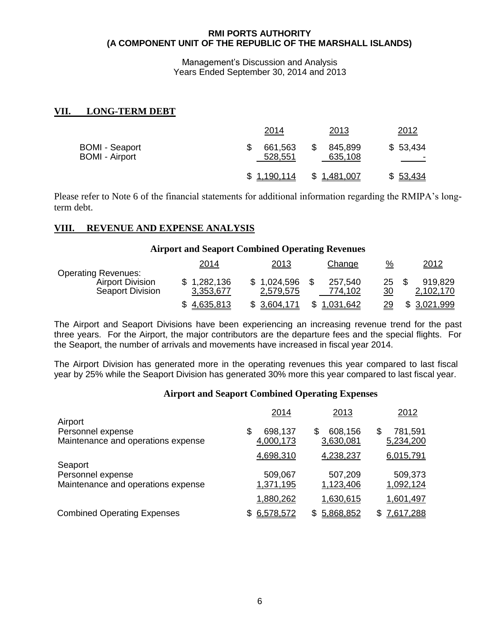Management's Discussion and Analysis Years Ended September 30, 2014 and 2013

## **VII. LONG-TERM DEBT**

|                                                | 2014               | 2013               | 2012     |
|------------------------------------------------|--------------------|--------------------|----------|
| <b>BOMI - Seaport</b><br><b>BOMI - Airport</b> | 661,563<br>528,551 | 845,899<br>635,108 | \$53,434 |
|                                                | \$1,190,114        | \$1,481,007        | \$53,434 |

Please refer to Note 6 of the financial statements for additional information regarding the RMIPA's longterm debt.

# **VIII. REVENUE AND EXPENSE ANALYSIS**

# **Airport and Seaport Combined Operating Revenues**

|                                                                                  | 2014                     | 2013                     | Change             | $\frac{9}{6}$ | 2012                 |
|----------------------------------------------------------------------------------|--------------------------|--------------------------|--------------------|---------------|----------------------|
| <b>Operating Revenues:</b><br><b>Airport Division</b><br><b>Seaport Division</b> | \$1,282,136<br>3,353,677 | \$1,024,596<br>2,579,575 | 257,540<br>774.102 | 25<br>30      | 919,829<br>2,102,170 |
|                                                                                  | \$4,635,813              | 3,604,171                | 1,031,642          |               | \$ 3,021,999         |

The Airport and Seaport Divisions have been experiencing an increasing revenue trend for the past three years. For the Airport, the major contributors are the departure fees and the special flights. For the Seaport, the number of arrivals and movements have increased in fiscal year 2014.

The Airport Division has generated more in the operating revenues this year compared to last fiscal year by 25% while the Seaport Division has generated 30% more this year compared to last fiscal year.

## **Airport and Seaport Combined Operating Expenses**

|                                                                    | 2014                      | 2013                       | 2012                      |
|--------------------------------------------------------------------|---------------------------|----------------------------|---------------------------|
| Airport<br>Personnel expense<br>Maintenance and operations expense | 698,137<br>S<br>4,000,173 | 608,156<br>\$<br>3,630,081 | 781,591<br>S<br>5,234,200 |
| Seaport                                                            | 4,698,310                 | 4,238,237                  | 6,015,791                 |
| Personnel expense<br>Maintenance and operations expense            | 509,067<br>1,371,195      | 507,209<br>1,123,406       | 509,373<br>1,092,124      |
|                                                                    | 1,880,262                 | 1,630,615                  | 1,601,497                 |
| <b>Combined Operating Expenses</b>                                 | 6,578,572                 | 5,868,852                  | 7.617.288<br>S            |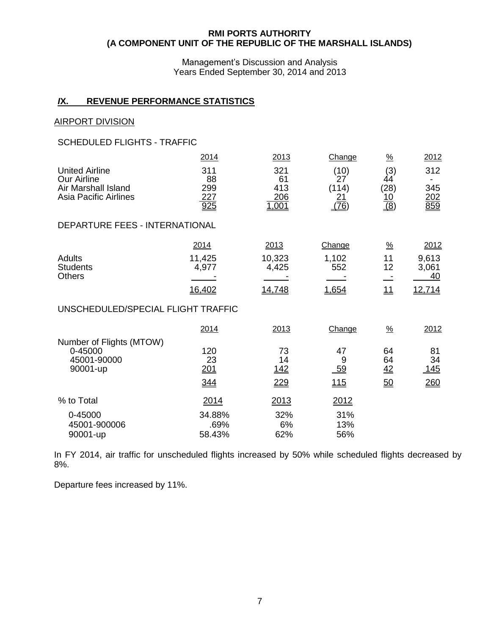Management's Discussion and Analysis Years Ended September 30, 2014 and 2013

# *I***X. REVENUE PERFORMANCE STATISTICS**

## AIRPORT DIVISION

## SCHEDULED FLIGHTS - TRAFFIC

|                                                                                             | 2014                                       | 2013                                  | Change                            | $\frac{9}{6}$                                       | 2012                                   |
|---------------------------------------------------------------------------------------------|--------------------------------------------|---------------------------------------|-----------------------------------|-----------------------------------------------------|----------------------------------------|
| <b>United Airline</b><br><b>Our Airline</b><br>Air Marshall Island<br>Asia Pacific Airlines | 311<br>88<br>299<br>227<br>$\frac{925}{5}$ | 321<br>61<br>413<br>206<br>1,001      | (10)<br>27<br>(114)<br>21<br>(76) | (3)<br>44<br>(28)<br>$\frac{10}{(8)}$               | 312<br>345<br>$\frac{202}{859}$        |
| DEPARTURE FEES - INTERNATIONAL                                                              |                                            |                                       |                                   |                                                     |                                        |
| Adults<br><b>Students</b><br><b>Others</b>                                                  | 2014<br>11,425<br>4,977<br>16,402          | 2013<br>10,323<br>4,425<br>14,748     | Change<br>1,102<br>552<br>1,654   | $\frac{9}{6}$<br>11<br>12<br>11                     | 2012<br>9,613<br>3,061<br>40<br>12,714 |
| UNSCHEDULED/SPECIAL FLIGHT TRAFFIC                                                          |                                            |                                       |                                   |                                                     |                                        |
| Number of Flights (MTOW)<br>0-45000<br>45001-90000<br>90001-up                              | 2014<br>120<br>23<br>201<br><u>344</u>     | 2013<br>73<br>14<br><u>142</u><br>229 | Change<br>47<br>9<br>$-59$<br>115 | $\frac{9}{6}$<br>64<br>64<br>42<br>$\underline{50}$ | 2012<br>81<br>34<br><u> 145</u><br>260 |
| % to Total<br>0-45000<br>45001-900006<br>90001-up                                           | 2014<br>34.88%<br>.69%<br>58.43%           | 2013<br>32%<br>6%<br>62%              | 2012<br>31%<br>13%<br>56%         |                                                     |                                        |

In FY 2014, air traffic for unscheduled flights increased by 50% while scheduled flights decreased by 8%.

Departure fees increased by 11%.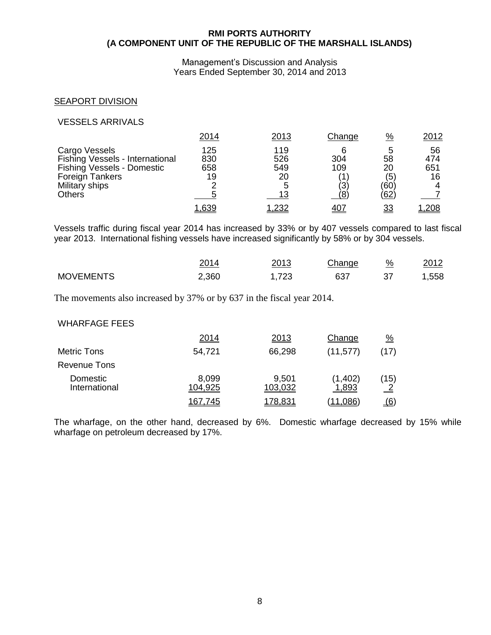Management's Discussion and Analysis Years Ended September 30, 2014 and 2013

## **SEAPORT DIVISION**

## VESSELS ARRIVALS

|                                   | 2014  | 2013         | Change     | $\frac{0}{2}$ | 2012          |
|-----------------------------------|-------|--------------|------------|---------------|---------------|
| Cargo Vessels                     | 125   | 119          |            |               | 56            |
| Fishing Vessels - International   | 830   | 526          | 304        | 58            | 474           |
| <b>Fishing Vessels - Domestic</b> | 658   | 549          | 109        | 20            | 651           |
| <b>Foreign Tankers</b>            | 19    | 20           |            | (5)           | 16            |
| Military ships                    | ⌒     |              | ′3)        | (60)          |               |
| Others                            |       | 13           | (8)        | <u>(62)</u>   |               |
|                                   | 1,639 | <u>1,232</u> | <u>407</u> | <u>33</u>     | <u>208, l</u> |

Vessels traffic during fiscal year 2014 has increased by 33% or by 407 vessels compared to last fiscal year 2013. International fishing vessels have increased significantly by 58% or by 304 vessels.

|                  | 2014  | 2013  | Change | % | 2012  |
|------------------|-------|-------|--------|---|-------|
| <b>MOVEMENTS</b> | 2,360 | 1,723 | 637    |   | 1,558 |

The movements also increased by 37% or by 637 in the fiscal year 2014.

## WHARFAGE FEES

|                           | 2014             | 2013             | Change           | $\frac{9}{6}$     |
|---------------------------|------------------|------------------|------------------|-------------------|
| Metric Tons               | 54,721           | 66,298           | (11, 577)        | (17)              |
| Revenue Tons              |                  |                  |                  |                   |
| Domestic<br>International | 8,099<br>104,925 | 9,501<br>103,032 | (1,402)<br>1,893 | (15)              |
|                           | 167.745          | <u>178,831</u>   | (11,086)         | $\underline{(6)}$ |

The wharfage, on the other hand, decreased by 6%. Domestic wharfage decreased by 15% while wharfage on petroleum decreased by 17%.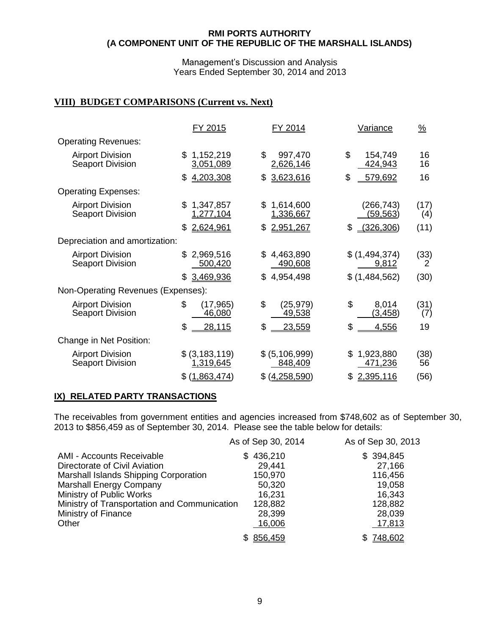Management's Discussion and Analysis Years Ended September 30, 2014 and 2013

# **VIII) BUDGET COMPARISONS (Current vs. Next)**

|                                                    | FY 2015                              | FY 2014                      | <b>Variance</b>               | $\frac{9}{6}$ |
|----------------------------------------------------|--------------------------------------|------------------------------|-------------------------------|---------------|
| <b>Operating Revenues:</b>                         |                                      |                              |                               |               |
| <b>Airport Division</b><br>Seaport Division        | \$1,152,219<br>3,051,089             | \$<br>997,470<br>2,626,146   | \$<br>154,749<br>424,943      | 16<br>16      |
|                                                    | 4,203,308<br>\$                      | 3,623,616<br>\$              | \$<br>579,692                 | 16            |
| <b>Operating Expenses:</b>                         |                                      |                              |                               |               |
| <b>Airport Division</b><br><b>Seaport Division</b> | 1,347,857<br>\$.<br>1,277,104        | 1,614,600<br>\$<br>1,336,667 | (266,743)<br>(59,563)         | (17)<br>(4)   |
|                                                    | 2,624,961<br>\$                      | 2,951,267<br>\$              | (326, 306)<br>\$              | (11)          |
| Depreciation and amortization:                     |                                      |                              |                               |               |
| <b>Airport Division</b><br><b>Seaport Division</b> | 2,969,516<br>\$.<br>500,420          | 4,463,890<br>\$.<br>490,608  | \$(1,494,374)<br>9,812        | (33)<br>2     |
|                                                    | 3,469,936<br>\$                      | 4,954,498<br>\$              | \$(1,484,562)                 | (30)          |
| Non-Operating Revenues (Expenses):                 |                                      |                              |                               |               |
| <b>Airport Division</b><br>Seaport Division        | \$<br>(17, 965)<br>46,080            | \$<br>(25, 979)<br>49,538    | \$<br>8,014<br><u>(3,458)</u> | (31)<br>(7)   |
|                                                    | \$<br>28,115                         | \$<br>23,559                 | \$<br>4,556                   | 19            |
| Change in Net Position:                            |                                      |                              |                               |               |
| <b>Airport Division</b><br>Seaport Division        | \$ (3, 183, 119)<br><u>1,319,645</u> | \$ (5,106,999)<br>848,409    | 1,923,880<br>471,236          | (38)<br>56    |
|                                                    | \$ (1,863,474)                       | \$(4,258,590)                | 2,395,116<br>\$               | (56)          |

## **IX) RELATED PARTY TRANSACTIONS**

The receivables from government entities and agencies increased from \$748,602 as of September 30, 2013 to \$856,459 as of September 30, 2014. Please see the table below for details:

|                                              | As of Sep 30, 2014 | As of Sep 30, 2013 |
|----------------------------------------------|--------------------|--------------------|
| <b>AMI - Accounts Receivable</b>             | 436,210<br>\$.     | \$394,845          |
| Directorate of Civil Aviation                | 29,441             | 27,166             |
| Marshall Islands Shipping Corporation        | 150,970            | 116,456            |
| Marshall Energy Company                      | 50,320             | 19,058             |
| Ministry of Public Works                     | 16,231             | 16,343             |
| Ministry of Transportation and Communication | 128,882            | 128,882            |
| Ministry of Finance                          | 28,399             | 28,039             |
| Other                                        | 16,006             | 17,813             |
|                                              | 856,459            | \$748,602          |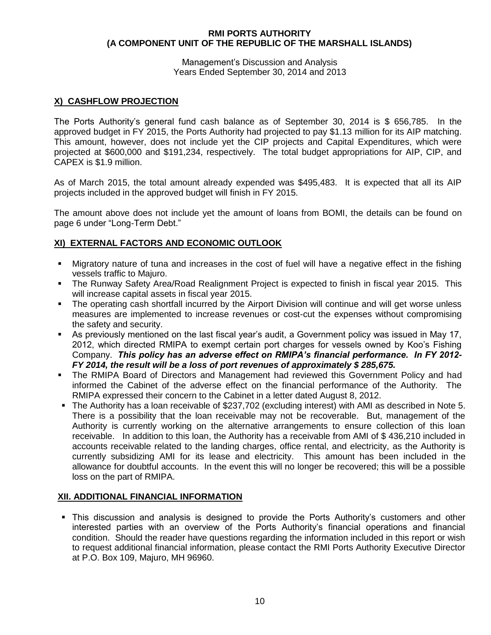Management's Discussion and Analysis Years Ended September 30, 2014 and 2013

# **X) CASHFLOW PROJECTION**

The Ports Authority's general fund cash balance as of September 30, 2014 is \$ 656,785. In the approved budget in FY 2015, the Ports Authority had projected to pay \$1.13 million for its AIP matching. This amount, however, does not include yet the CIP projects and Capital Expenditures, which were projected at \$600,000 and \$191,234, respectively. The total budget appropriations for AIP, CIP, and CAPEX is \$1.9 million.

As of March 2015, the total amount already expended was \$495,483. It is expected that all its AIP projects included in the approved budget will finish in FY 2015.

The amount above does not include yet the amount of loans from BOMI, the details can be found on page 6 under "Long-Term Debt."

# **XI) EXTERNAL FACTORS AND ECONOMIC OUTLOOK**

- Migratory nature of tuna and increases in the cost of fuel will have a negative effect in the fishing vessels traffic to Majuro.
- The Runway Safety Area/Road Realignment Project is expected to finish in fiscal year 2015. This will increase capital assets in fiscal year 2015.
- The operating cash shortfall incurred by the Airport Division will continue and will get worse unless measures are implemented to increase revenues or cost-cut the expenses without compromising the safety and security.
- As previously mentioned on the last fiscal year's audit, a Government policy was issued in May 17, 2012, which directed RMIPA to exempt certain port charges for vessels owned by Koo's Fishing Company. *This policy has an adverse effect on RMIPA's financial performance. In FY 2012- FY 2014, the result will be a loss of port revenues of approximately \$ 285,675.*
- The RMIPA Board of Directors and Management had reviewed this Government Policy and had informed the Cabinet of the adverse effect on the financial performance of the Authority. The RMIPA expressed their concern to the Cabinet in a letter dated August 8, 2012.
- The Authority has a loan receivable of \$237,702 (excluding interest) with AMI as described in Note 5. There is a possibility that the loan receivable may not be recoverable. But, management of the Authority is currently working on the alternative arrangements to ensure collection of this loan receivable. In addition to this loan, the Authority has a receivable from AMI of \$ 436,210 included in accounts receivable related to the landing charges, office rental, and electricity, as the Authority is currently subsidizing AMI for its lease and electricity. This amount has been included in the allowance for doubtful accounts. In the event this will no longer be recovered; this will be a possible loss on the part of RMIPA.

## **XII. ADDITIONAL FINANCIAL INFORMATION**

 This discussion and analysis is designed to provide the Ports Authority's customers and other interested parties with an overview of the Ports Authority's financial operations and financial condition. Should the reader have questions regarding the information included in this report or wish to request additional financial information, please contact the RMI Ports Authority Executive Director at P.O. Box 109, Majuro, MH 96960.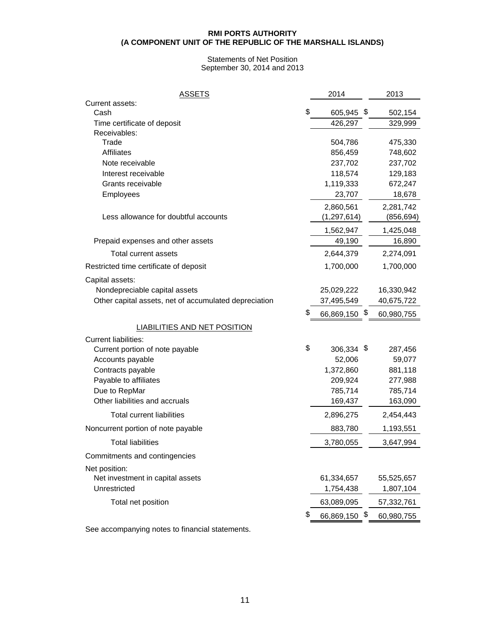#### Statements of Net Position September 30, 2014 and 2013

| <b>ASSETS</b>                                         |    | 2014            | 2013       |
|-------------------------------------------------------|----|-----------------|------------|
| Current assets:                                       |    |                 |            |
| Cash                                                  | \$ | 605,945 \$      | 502,154    |
| Time certificate of deposit                           |    | 426,297         | 329,999    |
| Receivables:<br>Trade                                 |    | 504,786         | 475,330    |
| <b>Affiliates</b>                                     |    | 856,459         | 748,602    |
| Note receivable                                       |    | 237,702         | 237,702    |
| Interest receivable                                   |    | 118,574         | 129,183    |
| Grants receivable                                     |    | 1,119,333       | 672,247    |
| Employees                                             |    | 23,707          | 18,678     |
|                                                       |    | 2,860,561       | 2,281,742  |
| Less allowance for doubtful accounts                  |    | (1, 297, 614)   | (856, 694) |
|                                                       |    | 1,562,947       | 1,425,048  |
| Prepaid expenses and other assets                     |    | 49,190          | 16,890     |
| <b>Total current assets</b>                           |    | 2,644,379       | 2,274,091  |
| Restricted time certificate of deposit                |    | 1,700,000       | 1,700,000  |
| Capital assets:                                       |    |                 |            |
| Nondepreciable capital assets                         |    | 25,029,222      | 16,330,942 |
| Other capital assets, net of accumulated depreciation |    | 37,495,549      | 40,675,722 |
|                                                       | S. | $66,869,150$ \$ | 60,980,755 |
| LIABILITIES AND NET POSITION                          |    |                 |            |
| <b>Current liabilities:</b>                           |    |                 |            |
| Current portion of note payable                       | \$ | $306,334$ \$    | 287,456    |
| Accounts payable                                      |    | 52,006          | 59,077     |
| Contracts payable                                     |    | 1,372,860       | 881,118    |
| Payable to affiliates                                 |    | 209,924         | 277,988    |
| Due to RepMar                                         |    | 785,714         | 785,714    |
| Other liabilities and accruals                        |    | 169,437         | 163,090    |
| <b>Total current liabilities</b>                      |    | 2,896,275       | 2,454,443  |
| Noncurrent portion of note payable                    |    | 883,780         | 1,193,551  |
| <b>Total liabilities</b>                              |    | 3,780,055       | 3,647,994  |
| Commitments and contingencies                         |    |                 |            |
| Net position:                                         |    |                 |            |
| Net investment in capital assets                      |    | 61,334,657      | 55,525,657 |
| Unrestricted                                          |    | 1,754,438       | 1,807,104  |
| Total net position                                    |    | 63,089,095      | 57,332,761 |
|                                                       | \$ | $66,869,150$ \$ | 60,980,755 |

See accompanying notes to financial statements.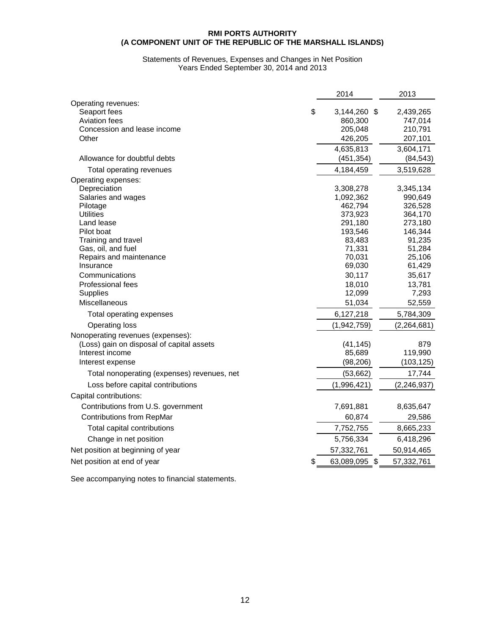#### Statements of Revenues, Expenses and Changes in Net Position Years Ended September 30, 2014 and 2013

|                                                     | 2014               | 2013               |
|-----------------------------------------------------|--------------------|--------------------|
| Operating revenues:                                 |                    |                    |
| \$<br>Seaport fees                                  | 3,144,260 \$       | 2,439,265          |
| <b>Aviation fees</b><br>Concession and lease income | 860,300<br>205,048 | 747,014<br>210,791 |
| Other                                               | 426,205            | 207,101            |
|                                                     | 4,635,813          | 3,604,171          |
| Allowance for doubtful debts                        | (451, 354)         | (84, 543)          |
| Total operating revenues                            | 4,184,459          | 3,519,628          |
| Operating expenses:                                 |                    |                    |
| Depreciation                                        | 3,308,278          | 3,345,134          |
| Salaries and wages                                  | 1,092,362          | 990,649            |
| Pilotage                                            | 462,794            | 326,528            |
| <b>Utilities</b>                                    | 373,923            | 364,170            |
| Land lease                                          | 291,180            | 273,180            |
| Pilot boat<br>Training and travel                   | 193,546<br>83,483  | 146,344<br>91,235  |
| Gas, oil, and fuel                                  | 71,331             | 51,284             |
| Repairs and maintenance                             | 70,031             | 25,106             |
| Insurance                                           | 69,030             | 61,429             |
| Communications                                      | 30,117             | 35,617             |
| Professional fees                                   | 18,010             | 13,781             |
| <b>Supplies</b>                                     | 12,099             | 7,293              |
| Miscellaneous                                       | 51,034             | 52,559             |
| Total operating expenses                            | 6,127,218          | 5,784,309          |
| Operating loss                                      | (1,942,759)        | (2, 264, 681)      |
| Nonoperating revenues (expenses):                   |                    |                    |
| (Loss) gain on disposal of capital assets           | (41, 145)          | 879                |
| Interest income                                     | 85,689             | 119,990            |
| Interest expense                                    | (98, 206)          | (103, 125)         |
| Total nonoperating (expenses) revenues, net         | (53,662)           | 17,744             |
| Loss before capital contributions                   | (1,996,421)        | (2, 246, 937)      |
| Capital contributions:                              |                    |                    |
| Contributions from U.S. government                  | 7,691,881          | 8,635,647          |
| <b>Contributions from RepMar</b>                    | 60,874             | 29,586             |
| Total capital contributions                         | 7,752,755          | 8,665,233          |
| Change in net position                              | 5,756,334          | 6,418,296          |
| Net position at beginning of year                   | 57,332,761         | 50,914,465         |
| Net position at end of year<br>\$                   | 63,089,095 \$      | 57,332,761         |

See accompanying notes to financial statements.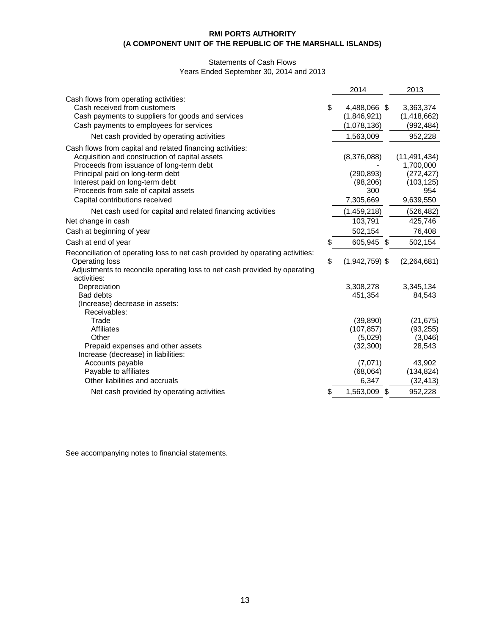### Statements of Cash Flows Years Ended September 30, 2014 and 2013

|                                                                                                                                                                                                                                                                                                          | 2014                                                       | 2013                                                                        |
|----------------------------------------------------------------------------------------------------------------------------------------------------------------------------------------------------------------------------------------------------------------------------------------------------------|------------------------------------------------------------|-----------------------------------------------------------------------------|
| Cash flows from operating activities:<br>Cash received from customers<br>Cash payments to suppliers for goods and services<br>Cash payments to employees for services                                                                                                                                    | \$<br>4,488,066 \$<br>(1,846,921)<br>(1,078,136)           | 3,363,374<br>(1,418,662)<br>(992, 484)                                      |
| Net cash provided by operating activities                                                                                                                                                                                                                                                                | 1,563,009                                                  | 952,228                                                                     |
| Cash flows from capital and related financing activities:<br>Acquisition and construction of capital assets<br>Proceeds from issuance of long-term debt<br>Principal paid on long-term debt<br>Interest paid on long-term debt<br>Proceeds from sale of capital assets<br>Capital contributions received | (8,376,088)<br>(290, 893)<br>(98, 206)<br>300<br>7,305,669 | (11, 491, 434)<br>1,700,000<br>(272, 427)<br>(103, 125)<br>954<br>9,639,550 |
| Net cash used for capital and related financing activities                                                                                                                                                                                                                                               | (1,459,218)                                                | (526,482)                                                                   |
| Net change in cash                                                                                                                                                                                                                                                                                       | 103,791                                                    | 425,746                                                                     |
| Cash at beginning of year                                                                                                                                                                                                                                                                                | 502,154                                                    | 76,408                                                                      |
| Cash at end of year                                                                                                                                                                                                                                                                                      | \$<br>605,945 \$                                           | 502,154                                                                     |
| Reconciliation of operating loss to net cash provided by operating activities:<br>Operating loss<br>Adjustments to reconcile operating loss to net cash provided by operating<br>activities:                                                                                                             | \$<br>$(1,942,759)$ \$                                     | (2, 264, 681)                                                               |
| Depreciation<br><b>Bad debts</b><br>(Increase) decrease in assets:<br>Receivables:                                                                                                                                                                                                                       | 3,308,278<br>451,354                                       | 3,345,134<br>84,543                                                         |
| Trade<br><b>Affiliates</b><br>Other<br>Prepaid expenses and other assets<br>Increase (decrease) in liabilities:<br>Accounts payable                                                                                                                                                                      | (39, 890)<br>(107, 857)<br>(5,029)<br>(32,300)<br>(7,071)  | (21, 675)<br>(93, 255)<br>(3,046)<br>28,543<br>43,902                       |
| Payable to affiliates                                                                                                                                                                                                                                                                                    | (68,064)                                                   | (134, 824)                                                                  |
| Other liabilities and accruals                                                                                                                                                                                                                                                                           | 6,347                                                      | (32, 413)                                                                   |
| Net cash provided by operating activities                                                                                                                                                                                                                                                                | \$<br>1,563,009 \$                                         | 952,228                                                                     |

See accompanying notes to financial statements.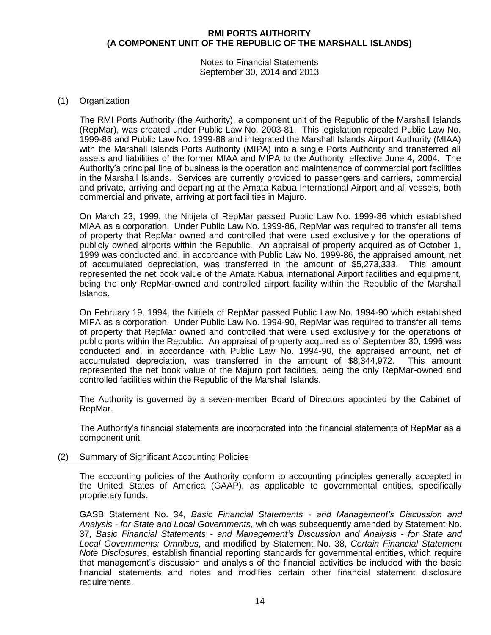Notes to Financial Statements September 30, 2014 and 2013

### (1) Organization

The RMI Ports Authority (the Authority), a component unit of the Republic of the Marshall Islands (RepMar), was created under Public Law No. 2003-81. This legislation repealed Public Law No. 1999-86 and Public Law No. 1999-88 and integrated the Marshall Islands Airport Authority (MIAA) with the Marshall Islands Ports Authority (MIPA) into a single Ports Authority and transferred all assets and liabilities of the former MIAA and MIPA to the Authority, effective June 4, 2004. The Authority's principal line of business is the operation and maintenance of commercial port facilities in the Marshall Islands. Services are currently provided to passengers and carriers, commercial and private, arriving and departing at the Amata Kabua International Airport and all vessels, both commercial and private, arriving at port facilities in Majuro.

On March 23, 1999, the Nitijela of RepMar passed Public Law No. 1999-86 which established MIAA as a corporation. Under Public Law No. 1999-86, RepMar was required to transfer all items of property that RepMar owned and controlled that were used exclusively for the operations of publicly owned airports within the Republic. An appraisal of property acquired as of October 1, 1999 was conducted and, in accordance with Public Law No. 1999-86, the appraised amount, net of accumulated depreciation, was transferred in the amount of \$5,273,333. This amount represented the net book value of the Amata Kabua International Airport facilities and equipment, being the only RepMar-owned and controlled airport facility within the Republic of the Marshall Islands.

On February 19, 1994, the Nitijela of RepMar passed Public Law No. 1994-90 which established MIPA as a corporation. Under Public Law No. 1994-90, RepMar was required to transfer all items of property that RepMar owned and controlled that were used exclusively for the operations of public ports within the Republic. An appraisal of property acquired as of September 30, 1996 was conducted and, in accordance with Public Law No. 1994-90, the appraised amount, net of accumulated depreciation, was transferred in the amount of \$8,344,972. This amount represented the net book value of the Majuro port facilities, being the only RepMar-owned and controlled facilities within the Republic of the Marshall Islands.

The Authority is governed by a seven-member Board of Directors appointed by the Cabinet of RepMar.

The Authority's financial statements are incorporated into the financial statements of RepMar as a component unit.

(2) Summary of Significant Accounting Policies

The accounting policies of the Authority conform to accounting principles generally accepted in the United States of America (GAAP), as applicable to governmental entities, specifically proprietary funds.

GASB Statement No. 34, *Basic Financial Statements - and Management's Discussion and Analysis - for State and Local Governments*, which was subsequently amended by Statement No. 37, *Basic Financial Statements - and Management's Discussion and Analysis - for State and Local Governments: Omnibus*, and modified by Statement No. 38, *Certain Financial Statement Note Disclosures*, establish financial reporting standards for governmental entities, which require that management's discussion and analysis of the financial activities be included with the basic financial statements and notes and modifies certain other financial statement disclosure requirements.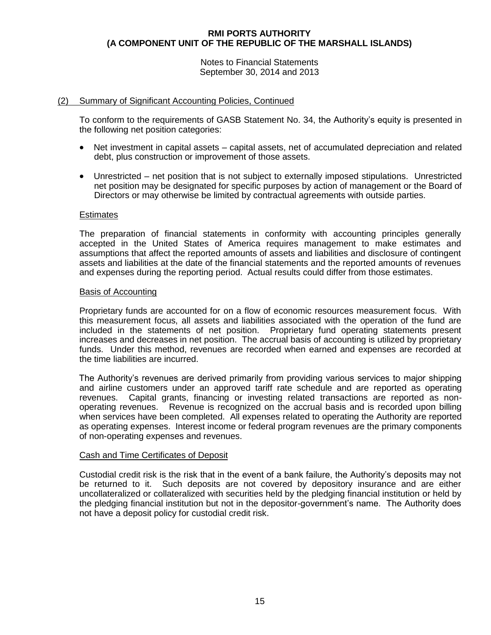Notes to Financial Statements September 30, 2014 and 2013

### (2) Summary of Significant Accounting Policies, Continued

To conform to the requirements of GASB Statement No. 34, the Authority's equity is presented in the following net position categories:

- Net investment in capital assets capital assets, net of accumulated depreciation and related debt, plus construction or improvement of those assets.
- Unrestricted net position that is not subject to externally imposed stipulations. Unrestricted net position may be designated for specific purposes by action of management or the Board of Directors or may otherwise be limited by contractual agreements with outside parties.

### **Estimates**

The preparation of financial statements in conformity with accounting principles generally accepted in the United States of America requires management to make estimates and assumptions that affect the reported amounts of assets and liabilities and disclosure of contingent assets and liabilities at the date of the financial statements and the reported amounts of revenues and expenses during the reporting period. Actual results could differ from those estimates.

### Basis of Accounting

Proprietary funds are accounted for on a flow of economic resources measurement focus. With this measurement focus, all assets and liabilities associated with the operation of the fund are included in the statements of net position. Proprietary fund operating statements present increases and decreases in net position. The accrual basis of accounting is utilized by proprietary funds. Under this method, revenues are recorded when earned and expenses are recorded at the time liabilities are incurred.

The Authority's revenues are derived primarily from providing various services to major shipping and airline customers under an approved tariff rate schedule and are reported as operating revenues. Capital grants, financing or investing related transactions are reported as nonoperating revenues. Revenue is recognized on the accrual basis and is recorded upon billing when services have been completed. All expenses related to operating the Authority are reported as operating expenses. Interest income or federal program revenues are the primary components of non-operating expenses and revenues.

#### Cash and Time Certificates of Deposit

Custodial credit risk is the risk that in the event of a bank failure, the Authority's deposits may not be returned to it. Such deposits are not covered by depository insurance and are either uncollateralized or collateralized with securities held by the pledging financial institution or held by the pledging financial institution but not in the depositor-government's name. The Authority does not have a deposit policy for custodial credit risk.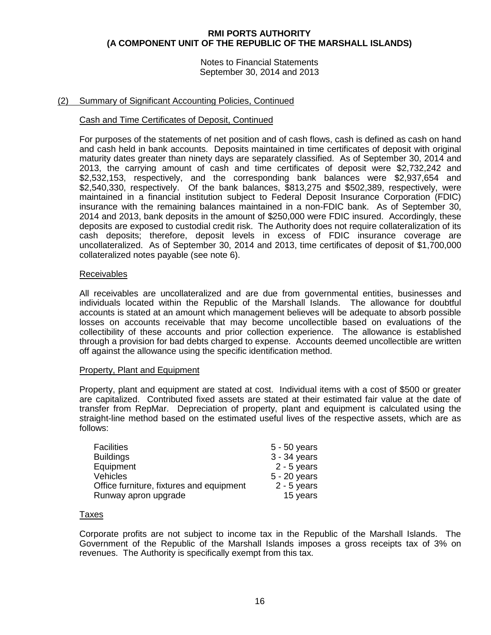Notes to Financial Statements September 30, 2014 and 2013

## (2) Summary of Significant Accounting Policies, Continued

### Cash and Time Certificates of Deposit, Continued

For purposes of the statements of net position and of cash flows, cash is defined as cash on hand and cash held in bank accounts. Deposits maintained in time certificates of deposit with original maturity dates greater than ninety days are separately classified. As of September 30, 2014 and 2013, the carrying amount of cash and time certificates of deposit were \$2,732,242 and \$2,532,153, respectively, and the corresponding bank balances were \$2,937,654 and \$2,540,330, respectively. Of the bank balances, \$813,275 and \$502,389, respectively, were maintained in a financial institution subject to Federal Deposit Insurance Corporation (FDIC) insurance with the remaining balances maintained in a non-FDIC bank. As of September 30, 2014 and 2013, bank deposits in the amount of \$250,000 were FDIC insured. Accordingly, these deposits are exposed to custodial credit risk. The Authority does not require collateralization of its cash deposits; therefore, deposit levels in excess of FDIC insurance coverage are uncollateralized. As of September 30, 2014 and 2013, time certificates of deposit of \$1,700,000 collateralized notes payable (see note 6).

### Receivables

All receivables are uncollateralized and are due from governmental entities, businesses and individuals located within the Republic of the Marshall Islands. The allowance for doubtful accounts is stated at an amount which management believes will be adequate to absorb possible losses on accounts receivable that may become uncollectible based on evaluations of the collectibility of these accounts and prior collection experience. The allowance is established through a provision for bad debts charged to expense. Accounts deemed uncollectible are written off against the allowance using the specific identification method.

#### Property, Plant and Equipment

Property, plant and equipment are stated at cost. Individual items with a cost of \$500 or greater are capitalized. Contributed fixed assets are stated at their estimated fair value at the date of transfer from RepMar. Depreciation of property, plant and equipment is calculated using the straight-line method based on the estimated useful lives of the respective assets, which are as follows:

| <b>Facilities</b>                        | $5 - 50$ years |
|------------------------------------------|----------------|
| <b>Buildings</b>                         | 3 - 34 years   |
| Equipment                                | $2 - 5$ years  |
| <b>Vehicles</b>                          | 5 - 20 years   |
| Office furniture, fixtures and equipment | $2 - 5$ years  |
| Runway apron upgrade                     | 15 years       |

### Taxes

Corporate profits are not subject to income tax in the Republic of the Marshall Islands. The Government of the Republic of the Marshall Islands imposes a gross receipts tax of 3% on revenues. The Authority is specifically exempt from this tax.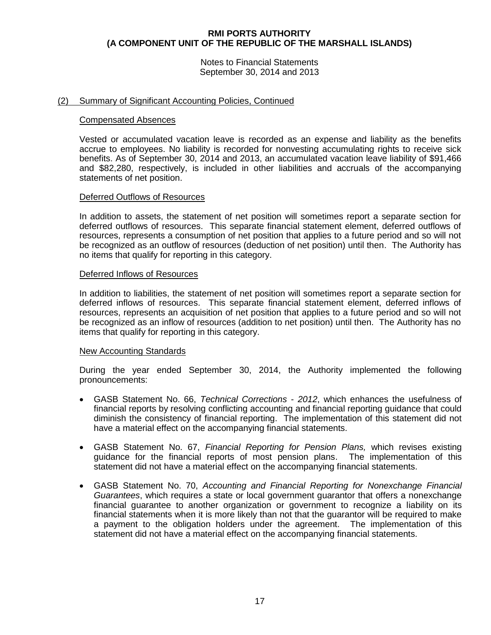Notes to Financial Statements September 30, 2014 and 2013

### (2) Summary of Significant Accounting Policies, Continued

### Compensated Absences

Vested or accumulated vacation leave is recorded as an expense and liability as the benefits accrue to employees. No liability is recorded for nonvesting accumulating rights to receive sick benefits. As of September 30, 2014 and 2013, an accumulated vacation leave liability of \$91,466 and \$82,280, respectively, is included in other liabilities and accruals of the accompanying statements of net position.

### Deferred Outflows of Resources

In addition to assets, the statement of net position will sometimes report a separate section for deferred outflows of resources. This separate financial statement element, deferred outflows of resources, represents a consumption of net position that applies to a future period and so will not be recognized as an outflow of resources (deduction of net position) until then. The Authority has no items that qualify for reporting in this category.

### Deferred Inflows of Resources

In addition to liabilities, the statement of net position will sometimes report a separate section for deferred inflows of resources. This separate financial statement element, deferred inflows of resources, represents an acquisition of net position that applies to a future period and so will not be recognized as an inflow of resources (addition to net position) until then. The Authority has no items that qualify for reporting in this category.

#### New Accounting Standards

During the year ended September 30, 2014, the Authority implemented the following pronouncements:

- GASB Statement No. 66, *Technical Corrections - 2012*, which enhances the usefulness of financial reports by resolving conflicting accounting and financial reporting guidance that could diminish the consistency of financial reporting. The implementation of this statement did not have a material effect on the accompanying financial statements.
- GASB Statement No. 67, *Financial Reporting for Pension Plans,* which revises existing guidance for the financial reports of most pension plans. The implementation of this statement did not have a material effect on the accompanying financial statements.
- GASB Statement No. 70, *Accounting and Financial Reporting for Nonexchange Financial Guarantees*, which requires a state or local government guarantor that offers a nonexchange financial guarantee to another organization or government to recognize a liability on its financial statements when it is more likely than not that the guarantor will be required to make a payment to the obligation holders under the agreement. The implementation of this statement did not have a material effect on the accompanying financial statements.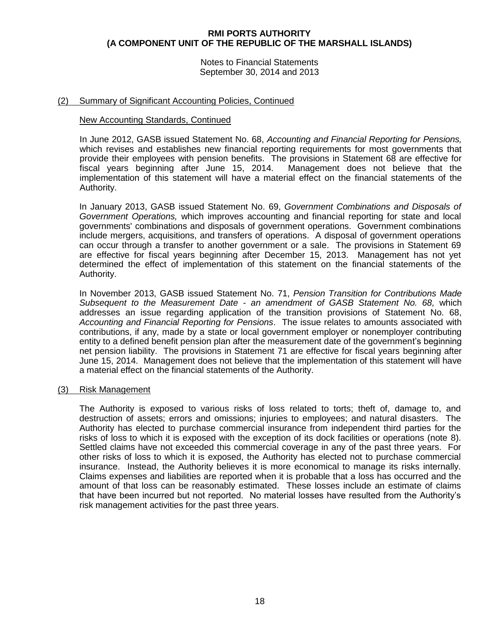Notes to Financial Statements September 30, 2014 and 2013

### (2) Summary of Significant Accounting Policies, Continued

### New Accounting Standards, Continued

In June 2012, GASB issued Statement No. 68, *Accounting and Financial Reporting for Pensions,*  which revises and establishes new financial reporting requirements for most governments that provide their employees with pension benefits. The provisions in Statement 68 are effective for fiscal years beginning after June 15, 2014. Management does not believe that the implementation of this statement will have a material effect on the financial statements of the Authority.

In January 2013, GASB issued Statement No. 69, *Government Combinations and Disposals of Government Operations,* which improves accounting and financial reporting for state and local governments' combinations and disposals of government operations. Government combinations include mergers, acquisitions, and transfers of operations. A disposal of government operations can occur through a transfer to another government or a sale. The provisions in Statement 69 are effective for fiscal years beginning after December 15, 2013. Management has not yet determined the effect of implementation of this statement on the financial statements of the Authority.

In November 2013, GASB issued Statement No. 71, *Pension Transition for Contributions Made Subsequent to the Measurement Date - an amendment of GASB Statement No. 68,* which addresses an issue regarding application of the transition provisions of Statement No. 68, *Accounting and Financial Reporting for Pensions*. The issue relates to amounts associated with contributions, if any, made by a state or local government employer or nonemployer contributing entity to a defined benefit pension plan after the measurement date of the government's beginning net pension liability. The provisions in Statement 71 are effective for fiscal years beginning after June 15, 2014. Management does not believe that the implementation of this statement will have a material effect on the financial statements of the Authority.

### (3) Risk Management

The Authority is exposed to various risks of loss related to torts; theft of, damage to, and destruction of assets; errors and omissions; injuries to employees; and natural disasters. The Authority has elected to purchase commercial insurance from independent third parties for the risks of loss to which it is exposed with the exception of its dock facilities or operations (note 8). Settled claims have not exceeded this commercial coverage in any of the past three years. For other risks of loss to which it is exposed, the Authority has elected not to purchase commercial insurance. Instead, the Authority believes it is more economical to manage its risks internally. Claims expenses and liabilities are reported when it is probable that a loss has occurred and the amount of that loss can be reasonably estimated. These losses include an estimate of claims that have been incurred but not reported. No material losses have resulted from the Authority's risk management activities for the past three years.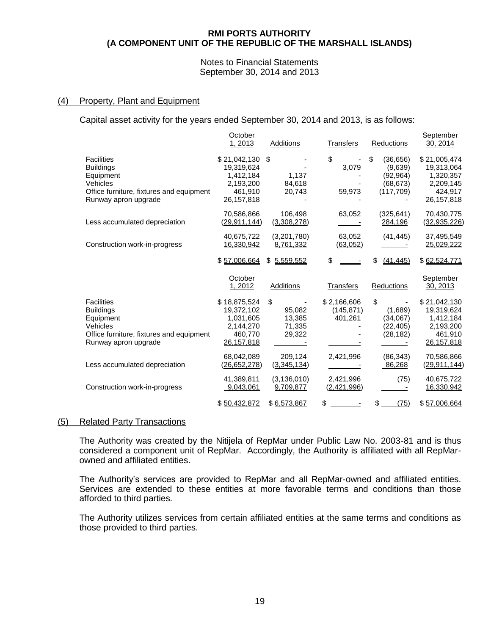Notes to Financial Statements September 30, 2014 and 2013

### (4) Property, Plant and Equipment

Capital asset activity for the years ended September 30, 2014 and 2013, is as follows:

|                                                                                                                                    | October<br>1, 2013                                                            | Additions                                  | Transfers                            | Reductions                                                        | September<br>30, 2014                                                         |
|------------------------------------------------------------------------------------------------------------------------------------|-------------------------------------------------------------------------------|--------------------------------------------|--------------------------------------|-------------------------------------------------------------------|-------------------------------------------------------------------------------|
| <b>Facilities</b><br><b>Buildings</b><br>Equipment<br>Vehicles<br>Office furniture, fixtures and equipment<br>Runway apron upgrade | \$21,042,130<br>19,319,624<br>1,412,184<br>2,193,200<br>461,910<br>26,157,818 | \$<br>1,137<br>84,618<br>20,743            | \$<br>3,079<br>59,973                | \$<br>(36,656)<br>(9,639)<br>(92, 964)<br>(68, 673)<br>(117, 709) | \$21,005,474<br>19,313,064<br>1,320,357<br>2,209,145<br>424,917<br>26,157,818 |
| Less accumulated depreciation                                                                                                      | 70,586,866<br>(29,911,144)                                                    | 106,498<br>(3,308,278)                     | 63,052<br><b>Contract Contract</b>   | (325, 641)<br>284,196                                             | 70,430,775<br>(32, 935, 226)                                                  |
| Construction work-in-progress                                                                                                      | 40,675,722<br>16,330,942                                                      | (3,201,780)<br>8,761,332                   | 63,052<br>(63,052)                   | (41, 445)                                                         | 37,495,549<br>25,029,222                                                      |
|                                                                                                                                    | \$57,006,664                                                                  | S<br>5,559,552                             | \$                                   | \$<br>(41, 445)                                                   | \$62,524,771                                                                  |
|                                                                                                                                    | October<br>1, 2012                                                            | Additions                                  | <b>Transfers</b>                     | Reductions                                                        | September<br>30, 2013                                                         |
|                                                                                                                                    |                                                                               |                                            |                                      |                                                                   |                                                                               |
| <b>Facilities</b><br><b>Buildings</b><br>Equipment<br>Vehicles<br>Office furniture, fixtures and equipment<br>Runway apron upgrade | \$18,875,524<br>19,372,102<br>1,031,605<br>2,144,270<br>460,770<br>26,157,818 | \$<br>95,082<br>13,385<br>71,335<br>29,322 | \$2,166,606<br>(145, 871)<br>401,261 | \$<br>(1,689)<br>(34,067)<br>(22, 405)<br>(28, 182)               | \$21,042,130<br>19,319,624<br>1,412,184<br>2,193,200<br>461,910<br>26,157,818 |
| Less accumulated depreciation                                                                                                      | 68,042,089<br><u>(26,652,278)</u>                                             | 209,124<br>(3,345,134)                     | 2,421,996                            | (86, 343)<br>86,268                                               | 70,586,866<br>(29, 911, 144)                                                  |
| Construction work-in-progress                                                                                                      | 41,389,811<br>9,043,061                                                       | (3, 136, 010)<br>9,709,877                 | 2,421,996<br>(2,421,996)             | (75)                                                              | 40,675,722<br>16,330,942                                                      |

#### (5) Related Party Transactions

The Authority was created by the Nitijela of RepMar under Public Law No. 2003-81 and is thus considered a component unit of RepMar. Accordingly, the Authority is affiliated with all RepMarowned and affiliated entities.

The Authority's services are provided to RepMar and all RepMar-owned and affiliated entities. Services are extended to these entities at more favorable terms and conditions than those afforded to third parties.

The Authority utilizes services from certain affiliated entities at the same terms and conditions as those provided to third parties.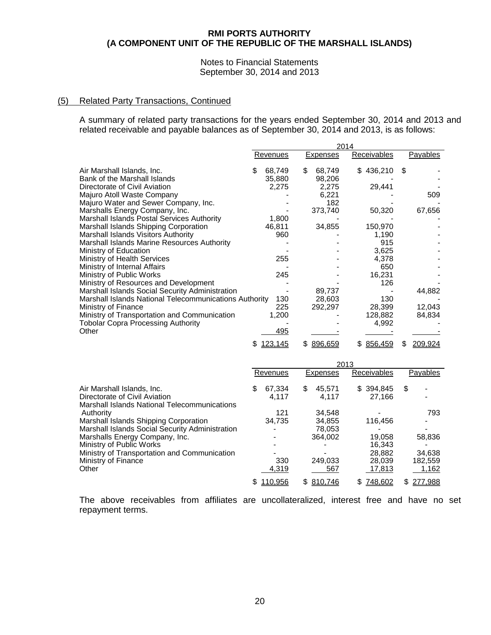### Notes to Financial Statements September 30, 2014 and 2013

### (5) Related Party Transactions, Continued

A summary of related party transactions for the years ended September 30, 2014 and 2013 and related receivable and payable balances as of September 30, 2014 and 2013, is as follows:

|                                                                                                           |                        |    |                  | 2014 |             |   |          |
|-----------------------------------------------------------------------------------------------------------|------------------------|----|------------------|------|-------------|---|----------|
|                                                                                                           | <b>Revenues</b>        |    | <b>Expenses</b>  |      | Receivables |   | Payables |
| Air Marshall Islands, Inc.<br>Bank of the Marshall Islands                                                | \$<br>68,749<br>35,880 | \$ | 68,749<br>98,206 |      | \$436,210   | S |          |
| Directorate of Civil Aviation                                                                             | 2,275                  |    | 2,275            |      | 29,441      |   |          |
| Majuro Atoll Waste Company                                                                                |                        |    | 6,221            |      |             |   | 509      |
| Majuro Water and Sewer Company, Inc.                                                                      |                        |    | 182              |      |             |   |          |
| Marshalls Energy Company, Inc.                                                                            |                        |    | 373,740          |      | 50,320      |   | 67,656   |
| Marshall Islands Postal Services Authority<br>Marshall Islands Shipping Corporation                       | 1,800<br>46,811        |    | 34,855           |      | 150,970     |   |          |
| Marshall Islands Visitors Authority                                                                       | 960                    |    |                  |      | 1,190       |   |          |
| Marshall Islands Marine Resources Authority                                                               |                        |    |                  |      | 915         |   |          |
| Ministry of Education                                                                                     |                        |    |                  |      | 3,625       |   |          |
| Ministry of Health Services                                                                               | 255                    |    |                  |      | 4,378       |   |          |
| Ministry of Internal Affairs                                                                              |                        |    |                  |      | 650         |   |          |
| Ministry of Public Works                                                                                  | 245                    |    |                  |      | 16,231      |   |          |
| Ministry of Resources and Development                                                                     |                        |    |                  |      | 126         |   |          |
| Marshall Islands Social Security Administration<br>Marshall Islands National Telecommunications Authority | 130                    |    | 89,737<br>28,603 |      | 130         |   | 44,882   |
| Ministry of Finance                                                                                       | 225                    |    | 292,297          |      | 28,399      |   | 12,043   |
| Ministry of Transportation and Communication                                                              | 1,200                  |    |                  |      | 128,882     |   | 84,834   |
| Tobolar Copra Processing Authority                                                                        |                        |    |                  |      | 4,992       |   |          |
| Other                                                                                                     | 495                    |    |                  |      |             |   |          |
|                                                                                                           | \$<br>123,145          | S  | 896,659          | \$   | 856,459     |   | 209,924  |

|                                                                                   |                       | 2013                  |    |                     |    |                   |
|-----------------------------------------------------------------------------------|-----------------------|-----------------------|----|---------------------|----|-------------------|
|                                                                                   | Revenues              | Expenses              |    | <b>Receivables</b>  |    | Payables          |
| Air Marshall Islands, Inc.<br>Directorate of Civil Aviation                       | \$<br>67.334<br>4,117 | \$<br>45.571<br>4.117 |    | \$394.845<br>27.166 | S  |                   |
| Marshall Islands National Telecommunications<br>Authority                         | 121                   | 34.548                |    |                     |    | 793               |
| Marshall Islands Shipping Corporation                                             | 34,735                | 34,855                |    | 116.456             |    |                   |
| Marshall Islands Social Security Administration<br>Marshalls Energy Company, Inc. |                       | 78.053<br>364,002     |    | 19.058              |    | 58,836            |
| Ministry of Public Works                                                          |                       |                       |    | 16.343              |    |                   |
| Ministry of Transportation and Communication<br>Ministry of Finance               | 330                   | 249,033               |    | 28,882<br>28.039    |    | 34,638<br>182.559 |
| Other                                                                             | 4,319                 | 567                   |    | 17.813              |    | 1,162             |
|                                                                                   | 110,956               | \$810,746             | S. | 748,602             | \$ | 277,988           |

The above receivables from affiliates are uncollateralized, interest free and have no set repayment terms.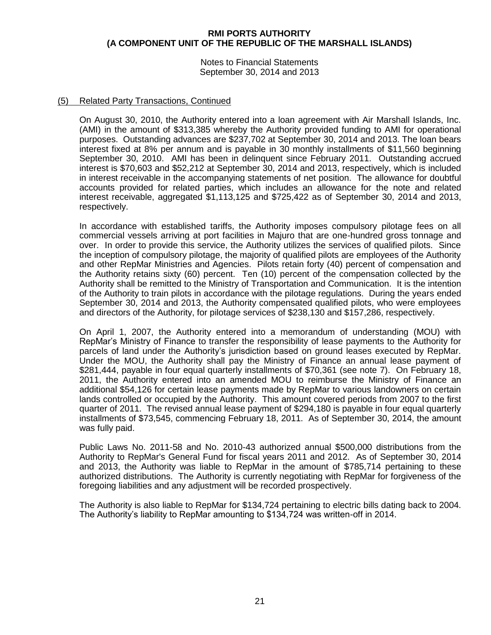Notes to Financial Statements September 30, 2014 and 2013

## (5) Related Party Transactions, Continued

On August 30, 2010, the Authority entered into a loan agreement with Air Marshall Islands, Inc. (AMI) in the amount of \$313,385 whereby the Authority provided funding to AMI for operational purposes. Outstanding advances are \$237,702 at September 30, 2014 and 2013. The loan bears interest fixed at 8% per annum and is payable in 30 monthly installments of \$11,560 beginning September 30, 2010. AMI has been in delinquent since February 2011. Outstanding accrued interest is \$70,603 and \$52,212 at September 30, 2014 and 2013, respectively, which is included in interest receivable in the accompanying statements of net position. The allowance for doubtful accounts provided for related parties, which includes an allowance for the note and related interest receivable, aggregated \$1,113,125 and \$725,422 as of September 30, 2014 and 2013, respectively.

In accordance with established tariffs, the Authority imposes compulsory pilotage fees on all commercial vessels arriving at port facilities in Majuro that are one-hundred gross tonnage and over. In order to provide this service, the Authority utilizes the services of qualified pilots. Since the inception of compulsory pilotage, the majority of qualified pilots are employees of the Authority and other RepMar Ministries and Agencies. Pilots retain forty (40) percent of compensation and the Authority retains sixty (60) percent. Ten (10) percent of the compensation collected by the Authority shall be remitted to the Ministry of Transportation and Communication. It is the intention of the Authority to train pilots in accordance with the pilotage regulations. During the years ended September 30, 2014 and 2013, the Authority compensated qualified pilots, who were employees and directors of the Authority, for pilotage services of \$238,130 and \$157,286, respectively.

On April 1, 2007, the Authority entered into a memorandum of understanding (MOU) with RepMar's Ministry of Finance to transfer the responsibility of lease payments to the Authority for parcels of land under the Authority's jurisdiction based on ground leases executed by RepMar. Under the MOU, the Authority shall pay the Ministry of Finance an annual lease payment of \$281,444, payable in four equal quarterly installments of \$70,361 (see note 7). On February 18, 2011, the Authority entered into an amended MOU to reimburse the Ministry of Finance an additional \$54,126 for certain lease payments made by RepMar to various landowners on certain lands controlled or occupied by the Authority. This amount covered periods from 2007 to the first quarter of 2011. The revised annual lease payment of \$294,180 is payable in four equal quarterly installments of \$73,545, commencing February 18, 2011. As of September 30, 2014, the amount was fully paid.

Public Laws No. 2011-58 and No. 2010-43 authorized annual \$500,000 distributions from the Authority to RepMar's General Fund for fiscal years 2011 and 2012. As of September 30, 2014 and 2013, the Authority was liable to RepMar in the amount of \$785,714 pertaining to these authorized distributions. The Authority is currently negotiating with RepMar for forgiveness of the foregoing liabilities and any adjustment will be recorded prospectively.

The Authority is also liable to RepMar for \$134,724 pertaining to electric bills dating back to 2004. The Authority's liability to RepMar amounting to \$134,724 was written-off in 2014.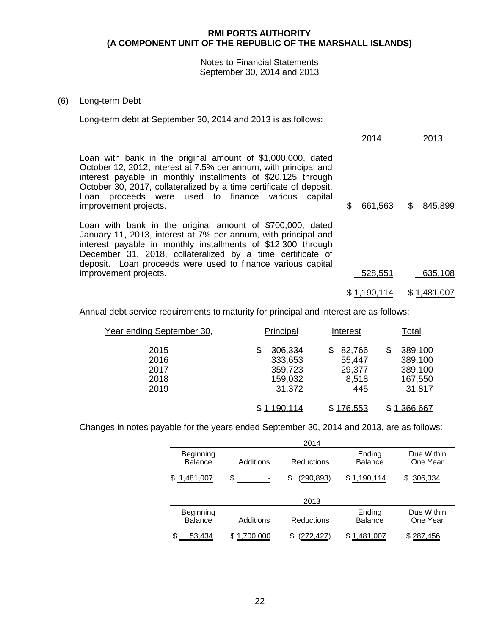Notes to Financial Statements September 30, 2014 and 2013

### (6) Long-term Debt

Long-term debt at September 30, 2014 and 2013 is as follows:

|                                                                                                                                                                                                                                                                                                                                                      | 2014          |               |
|------------------------------------------------------------------------------------------------------------------------------------------------------------------------------------------------------------------------------------------------------------------------------------------------------------------------------------------------------|---------------|---------------|
| Loan with bank in the original amount of \$1,000,000, dated<br>October 12, 2012, interest at 7.5% per annum, with principal and<br>interest payable in monthly installments of \$20,125 through<br>October 30, 2017, collateralized by a time certificate of deposit.<br>Loan proceeds were used to finance various capital<br>improvement projects. | \$<br>661,563 | \$<br>845,899 |
| Loan with bank in the original amount of \$700,000, dated<br>January 11, 2013, interest at 7% per annum, with principal and<br>interest payable in monthly installments of \$12,300 through<br>December 31, 2018, collateralized by a time certificate of<br>deposit. Loan proceeds were used to finance various capital<br>improvement projects.    | 528,551       | 635,108       |
|                                                                                                                                                                                                                                                                                                                                                      |               |               |
|                                                                                                                                                                                                                                                                                                                                                      | \$1,190,114   | \$1,481,007   |

Annual debt service requirements to maturity for principal and interest are as follows:

| Year ending September 30,            | Principal                                          | Interest                                         | Total                                                    |
|--------------------------------------|----------------------------------------------------|--------------------------------------------------|----------------------------------------------------------|
| 2015<br>2016<br>2017<br>2018<br>2019 | 306,334<br>333,653<br>359,723<br>159,032<br>31,372 | 82,766<br>\$<br>55,447<br>29,377<br>8,518<br>445 | 389,100<br>\$<br>389,100<br>389,100<br>167,550<br>31,817 |
|                                      | \$1,190,114                                        | \$176,553                                        | \$1,366,667                                              |

Changes in notes payable for the years ended September 30, 2014 and 2013, are as follows:

|                             |                  | 2014                   |                          |                        |
|-----------------------------|------------------|------------------------|--------------------------|------------------------|
| Beginning<br><b>Balance</b> | Additions        | Reductions             | Ending<br><b>Balance</b> | Due Within<br>One Year |
| \$1,481,007                 | \$               | \$<br><u>(290,893)</u> | \$1,190,114              | 306,334<br>S           |
|                             |                  | 2013                   |                          |                        |
| Beginning<br><b>Balance</b> | Additions        | Reductions             | Ending<br><b>Balance</b> | Due Within<br>One Year |
| \$<br>53,434                | 1,700,000<br>\$. | (272,427)              | \$1,481,007              | \$287,456              |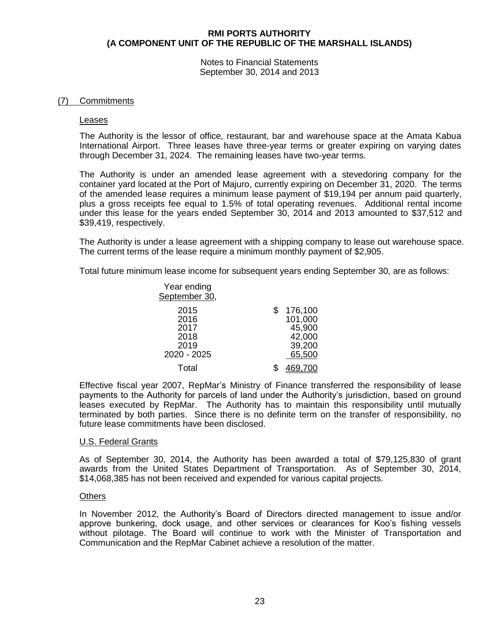Notes to Financial Statements September 30, 2014 and 2013

### (7) Commitments

#### Leases

The Authority is the lessor of office, restaurant, bar and warehouse space at the Amata Kabua International Airport. Three leases have three-year terms or greater expiring on varying dates through December 31, 2024. The remaining leases have two-year terms.

The Authority is under an amended lease agreement with a stevedoring company for the container yard located at the Port of Majuro, currently expiring on December 31, 2020. The terms of the amended lease requires a minimum lease payment of \$19,194 per annum paid quarterly, plus a gross receipts fee equal to 1.5% of total operating revenues. Additional rental income under this lease for the years ended September 30, 2014 and 2013 amounted to \$37,512 and \$39,419, respectively.

The Authority is under a lease agreement with a shipping company to lease out warehouse space. The current terms of the lease require a minimum monthly payment of \$2,905.

Total future minimum lease income for subsequent years ending September 30, are as follows:

| Year ending<br>September 30, |                          |
|------------------------------|--------------------------|
| 2015<br>2016                 | \$<br>176,100<br>101,000 |
| 2017                         | 45,900                   |
| 2018                         | 42,000                   |
| 2019                         | 39,200                   |
| 2020 - 2025                  | 65,500                   |
| Total                        | 69.700                   |

Effective fiscal year 2007, RepMar's Ministry of Finance transferred the responsibility of lease payments to the Authority for parcels of land under the Authority's jurisdiction, based on ground leases executed by RepMar. The Authority has to maintain this responsibility until mutually terminated by both parties. Since there is no definite term on the transfer of responsibility, no future lease commitments have been disclosed.

#### U.S. Federal Grants

As of September 30, 2014, the Authority has been awarded a total of \$79,125,830 of grant awards from the United States Department of Transportation. As of September 30, 2014, \$14,068,385 has not been received and expended for various capital projects.

### **Others**

In November 2012, the Authority's Board of Directors directed management to issue and/or approve bunkering, dock usage, and other services or clearances for Koo's fishing vessels without pilotage. The Board will continue to work with the Minister of Transportation and Communication and the RepMar Cabinet achieve a resolution of the matter.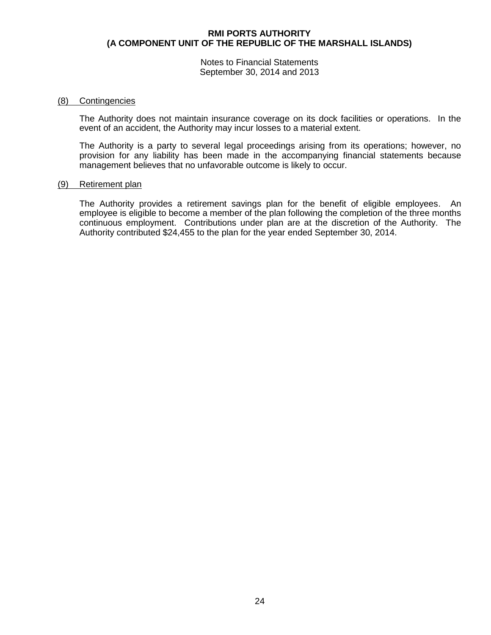Notes to Financial Statements September 30, 2014 and 2013

### (8) Contingencies

The Authority does not maintain insurance coverage on its dock facilities or operations. In the event of an accident, the Authority may incur losses to a material extent.

The Authority is a party to several legal proceedings arising from its operations; however, no provision for any liability has been made in the accompanying financial statements because management believes that no unfavorable outcome is likely to occur.

#### (9) Retirement plan

The Authority provides a retirement savings plan for the benefit of eligible employees. An employee is eligible to become a member of the plan following the completion of the three months continuous employment. Contributions under plan are at the discretion of the Authority. The Authority contributed \$24,455 to the plan for the year ended September 30, 2014.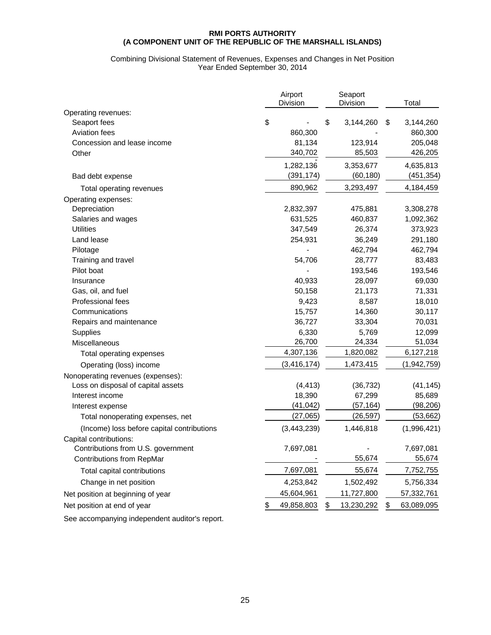#### Combining Divisional Statement of Revenues, Expenses and Changes in Net Position Year Ended September 30, 2014

|                                            | Airport          | Seaport          |                    |
|--------------------------------------------|------------------|------------------|--------------------|
|                                            | Division         | Division         | Total              |
| Operating revenues:                        |                  | \$               |                    |
| Seaport fees<br><b>Aviation fees</b>       | \$<br>860,300    | 3,144,260        | \$<br>3,144,260    |
| Concession and lease income                | 81,134           | 123,914          | 860,300<br>205,048 |
| Other                                      | 340,702          | 85,503           | 426,205            |
|                                            |                  |                  |                    |
|                                            | 1,282,136        | 3,353,677        | 4,635,813          |
| Bad debt expense                           | (391, 174)       | (60, 180)        | (451, 354)         |
| Total operating revenues                   | 890,962          | 3,293,497        | 4,184,459          |
| Operating expenses:                        |                  |                  |                    |
| Depreciation                               | 2,832,397        | 475,881          | 3,308,278          |
| Salaries and wages                         | 631,525          | 460,837          | 1,092,362          |
| <b>Utilities</b>                           | 347,549          | 26,374           | 373,923            |
| Land lease                                 | 254,931          | 36,249           | 291,180            |
| Pilotage                                   |                  | 462,794          | 462,794            |
| Training and travel                        | 54,706           | 28,777           | 83,483             |
| Pilot boat                                 |                  | 193,546          | 193,546            |
| Insurance                                  | 40,933           | 28,097           | 69,030             |
| Gas, oil, and fuel                         | 50,158           | 21,173           | 71,331             |
| Professional fees                          | 9,423            | 8,587            | 18,010             |
| Communications                             | 15,757           | 14,360           | 30,117             |
| Repairs and maintenance                    | 36,727           | 33,304           | 70,031             |
| Supplies                                   | 6,330            | 5,769            | 12,099             |
| Miscellaneous                              | 26,700           | 24,334           | 51,034             |
| Total operating expenses                   | 4,307,136        | 1,820,082        | 6,127,218          |
| Operating (loss) income                    | (3, 416, 174)    | 1,473,415        | (1,942,759)        |
| Nonoperating revenues (expenses):          |                  |                  |                    |
| Loss on disposal of capital assets         | (4, 413)         | (36, 732)        | (41, 145)          |
| Interest income                            | 18,390           | 67,299           | 85,689             |
| Interest expense                           | (41, 042)        | (57, 164)        | (98, 206)          |
| Total nonoperating expenses, net           | (27,065)         | (26, 597)        | (53, 662)          |
| (Income) loss before capital contributions | (3,443,239)      | 1,446,818        | (1,996,421)        |
| Capital contributions:                     |                  |                  |                    |
| Contributions from U.S. government         | 7,697,081        |                  | 7,697,081          |
| Contributions from RepMar                  |                  | 55,674           | 55,674             |
| Total capital contributions                | 7,697,081        | 55,674           | 7,752,755          |
| Change in net position                     | 4,253,842        | 1,502,492        | 5,756,334          |
| Net position at beginning of year          | 45,604,961       | 11,727,800       | 57,332,761         |
| Net position at end of year                | \$<br>49,858,803 | \$<br>13,230,292 | \$<br>63,089,095   |
|                                            |                  |                  |                    |

See accompanying independent auditor's report.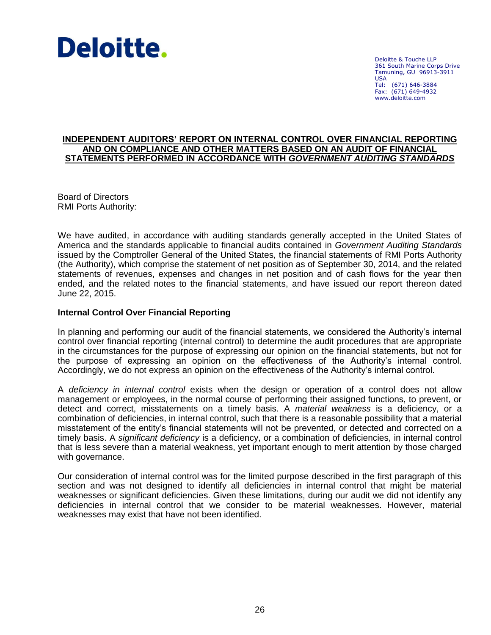

Deloitte & Touche LLP 361 South Marine Corps Drive Tamuning, GU 96913-3911 USA Tel: (671) 646-3884 Fax: (671) 649-4932 www.deloitte.com

### **INDEPENDENT AUDITORS' REPORT ON INTERNAL CONTROL OVER FINANCIAL REPORTING AND ON COMPLIANCE AND OTHER MATTERS BASED ON AN AUDIT OF FINANCIAL STATEMENTS PERFORMED IN ACCORDANCE WITH** *GOVERNMENT AUDITING STANDARDS*

Board of Directors RMI Ports Authority:

We have audited, in accordance with auditing standards generally accepted in the United States of America and the standards applicable to financial audits contained in *Government Auditing Standards* issued by the Comptroller General of the United States, the financial statements of RMI Ports Authority (the Authority), which comprise the statement of net position as of September 30, 2014, and the related statements of revenues, expenses and changes in net position and of cash flows for the year then ended, and the related notes to the financial statements, and have issued our report thereon dated June 22, 2015.

### **Internal Control Over Financial Reporting**

In planning and performing our audit of the financial statements, we considered the Authority's internal control over financial reporting (internal control) to determine the audit procedures that are appropriate in the circumstances for the purpose of expressing our opinion on the financial statements, but not for the purpose of expressing an opinion on the effectiveness of the Authority's internal control. Accordingly, we do not express an opinion on the effectiveness of the Authority's internal control.

A *deficiency in internal control* exists when the design or operation of a control does not allow management or employees, in the normal course of performing their assigned functions, to prevent, or detect and correct, misstatements on a timely basis. A *material weakness* is a deficiency, or a combination of deficiencies, in internal control, such that there is a reasonable possibility that a material misstatement of the entity's financial statements will not be prevented, or detected and corrected on a timely basis. A *significant deficiency* is a deficiency, or a combination of deficiencies, in internal control that is less severe than a material weakness, yet important enough to merit attention by those charged with governance.

Our consideration of internal control was for the limited purpose described in the first paragraph of this section and was not designed to identify all deficiencies in internal control that might be material weaknesses or significant deficiencies. Given these limitations, during our audit we did not identify any deficiencies in internal control that we consider to be material weaknesses. However, material weaknesses may exist that have not been identified.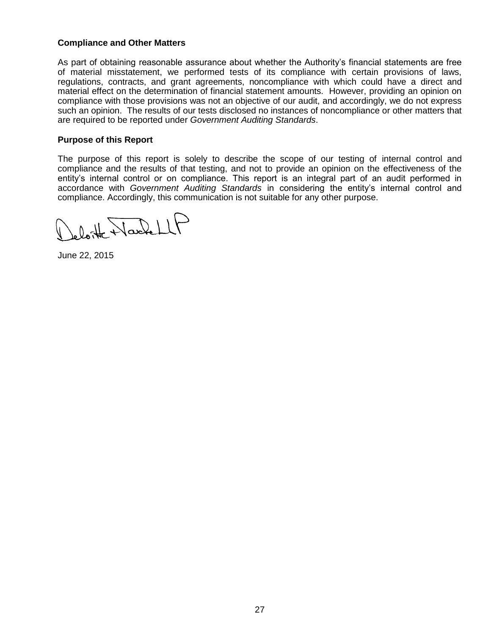### **Compliance and Other Matters**

As part of obtaining reasonable assurance about whether the Authority's financial statements are free of material misstatement, we performed tests of its compliance with certain provisions of laws, regulations, contracts, and grant agreements, noncompliance with which could have a direct and material effect on the determination of financial statement amounts. However, providing an opinion on compliance with those provisions was not an objective of our audit, and accordingly, we do not express such an opinion. The results of our tests disclosed no instances of noncompliance or other matters that are required to be reported under *Government Auditing Standards*.

### **Purpose of this Report**

The purpose of this report is solely to describe the scope of our testing of internal control and compliance and the results of that testing, and not to provide an opinion on the effectiveness of the entity's internal control or on compliance. This report is an integral part of an audit performed in accordance with *Government Auditing Standards* in considering the entity's internal control and compliance. Accordingly, this communication is not suitable for any other purpose.

leloite Nache

June 22, 2015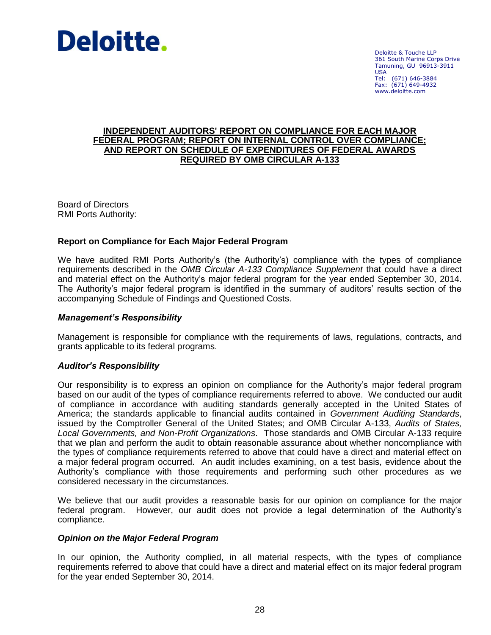

Deloitte & Touche LLP 361 South Marine Corps Drive Tamuning, GU 96913-3911 USA Tel: (671) 646-3884 Fax: (671) 649-4932 www.deloitte.com

### **INDEPENDENT AUDITORS' REPORT ON COMPLIANCE FOR EACH MAJOR FEDERAL PROGRAM; REPORT ON INTERNAL CONTROL OVER COMPLIANCE; AND REPORT ON SCHEDULE OF EXPENDITURES OF FEDERAL AWARDS REQUIRED BY OMB CIRCULAR A-133**

Board of Directors RMI Ports Authority:

### **Report on Compliance for Each Major Federal Program**

We have audited RMI Ports Authority's (the Authority's) compliance with the types of compliance requirements described in the *OMB Circular A-133 Compliance Supplement* that could have a direct and material effect on the Authority's major federal program for the year ended September 30, 2014. The Authority's major federal program is identified in the summary of auditors' results section of the accompanying Schedule of Findings and Questioned Costs.

### *Management's Responsibility*

Management is responsible for compliance with the requirements of laws, regulations, contracts, and grants applicable to its federal programs.

### *Auditor's Responsibility*

Our responsibility is to express an opinion on compliance for the Authority's major federal program based on our audit of the types of compliance requirements referred to above. We conducted our audit of compliance in accordance with auditing standards generally accepted in the United States of America; the standards applicable to financial audits contained in *Government Auditing Standards*, issued by the Comptroller General of the United States; and OMB Circular A-133, *Audits of States, Local Governments, and Non-Profit Organizations*. Those standards and OMB Circular A-133 require that we plan and perform the audit to obtain reasonable assurance about whether noncompliance with the types of compliance requirements referred to above that could have a direct and material effect on a major federal program occurred. An audit includes examining, on a test basis, evidence about the Authority's compliance with those requirements and performing such other procedures as we considered necessary in the circumstances.

We believe that our audit provides a reasonable basis for our opinion on compliance for the major federal program. However, our audit does not provide a legal determination of the Authority's compliance.

### *Opinion on the Major Federal Program*

In our opinion, the Authority complied, in all material respects, with the types of compliance requirements referred to above that could have a direct and material effect on its major federal program for the year ended September 30, 2014.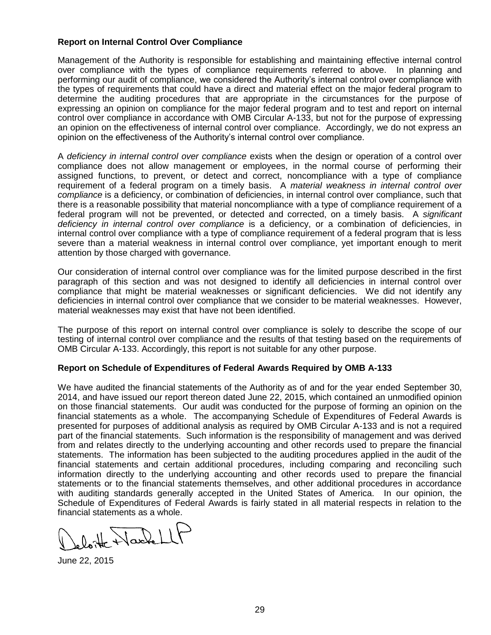## **Report on Internal Control Over Compliance**

Management of the Authority is responsible for establishing and maintaining effective internal control over compliance with the types of compliance requirements referred to above. In planning and performing our audit of compliance, we considered the Authority's internal control over compliance with the types of requirements that could have a direct and material effect on the major federal program to determine the auditing procedures that are appropriate in the circumstances for the purpose of expressing an opinion on compliance for the major federal program and to test and report on internal control over compliance in accordance with OMB Circular A-133, but not for the purpose of expressing an opinion on the effectiveness of internal control over compliance. Accordingly, we do not express an opinion on the effectiveness of the Authority's internal control over compliance.

A *deficiency in internal control over compliance* exists when the design or operation of a control over compliance does not allow management or employees, in the normal course of performing their assigned functions, to prevent, or detect and correct, noncompliance with a type of compliance requirement of a federal program on a timely basis. A *material weakness in internal control over compliance* is a deficiency, or combination of deficiencies, in internal control over compliance, such that there is a reasonable possibility that material noncompliance with a type of compliance requirement of a federal program will not be prevented, or detected and corrected, on a timely basis. A *significant deficiency in internal control over compliance* is a deficiency, or a combination of deficiencies, in internal control over compliance with a type of compliance requirement of a federal program that is less severe than a material weakness in internal control over compliance, yet important enough to merit attention by those charged with governance.

Our consideration of internal control over compliance was for the limited purpose described in the first paragraph of this section and was not designed to identify all deficiencies in internal control over compliance that might be material weaknesses or significant deficiencies. We did not identify any deficiencies in internal control over compliance that we consider to be material weaknesses. However, material weaknesses may exist that have not been identified.

The purpose of this report on internal control over compliance is solely to describe the scope of our testing of internal control over compliance and the results of that testing based on the requirements of OMB Circular A-133. Accordingly, this report is not suitable for any other purpose.

### **Report on Schedule of Expenditures of Federal Awards Required by OMB A-133**

We have audited the financial statements of the Authority as of and for the year ended September 30, 2014, and have issued our report thereon dated June 22, 2015, which contained an unmodified opinion on those financial statements. Our audit was conducted for the purpose of forming an opinion on the financial statements as a whole. The accompanying Schedule of Expenditures of Federal Awards is presented for purposes of additional analysis as required by OMB Circular A-133 and is not a required part of the financial statements. Such information is the responsibility of management and was derived from and relates directly to the underlying accounting and other records used to prepare the financial statements. The information has been subjected to the auditing procedures applied in the audit of the financial statements and certain additional procedures, including comparing and reconciling such information directly to the underlying accounting and other records used to prepare the financial statements or to the financial statements themselves, and other additional procedures in accordance with auditing standards generally accepted in the United States of America. In our opinion, the Schedule of Expenditures of Federal Awards is fairly stated in all material respects in relation to the financial statements as a whole.

loite Nachell

June 22, 2015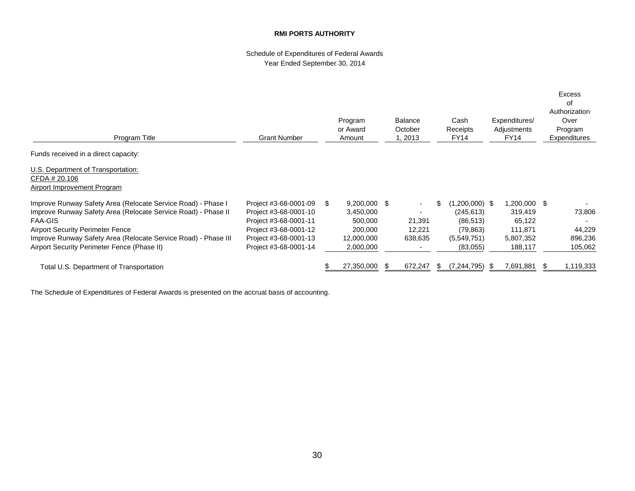#### **RMI PORTS AUTHORITY**

### Schedule of Expenditures of Federal Awards Year Ended September 30, 2014

| Program Title                                                                                                                                                                                                                                                                                        | <b>Grant Number</b>                                                                                                                                |     | Program<br>or Award<br>Amount                                                | <b>Balance</b><br>October<br>1, 2013                    | Cash<br>Receipts<br>FY14                                                            |   | Expenditures/<br>Adjustments<br>FY14                                 | <b>Excess</b><br>οf<br>Authorization<br>Over<br>Program<br>Expenditures |
|------------------------------------------------------------------------------------------------------------------------------------------------------------------------------------------------------------------------------------------------------------------------------------------------------|----------------------------------------------------------------------------------------------------------------------------------------------------|-----|------------------------------------------------------------------------------|---------------------------------------------------------|-------------------------------------------------------------------------------------|---|----------------------------------------------------------------------|-------------------------------------------------------------------------|
| Funds received in a direct capacity:                                                                                                                                                                                                                                                                 |                                                                                                                                                    |     |                                                                              |                                                         |                                                                                     |   |                                                                      |                                                                         |
| U.S. Department of Transportation:<br>CFDA # 20.106                                                                                                                                                                                                                                                  |                                                                                                                                                    |     |                                                                              |                                                         |                                                                                     |   |                                                                      |                                                                         |
| Airport Improvement Program                                                                                                                                                                                                                                                                          |                                                                                                                                                    |     |                                                                              |                                                         |                                                                                     |   |                                                                      |                                                                         |
| Improve Runway Safety Area (Relocate Service Road) - Phase I<br>Improve Runway Safety Area (Relocate Service Road) - Phase II<br>FAA-GIS<br><b>Airport Security Perimeter Fence</b><br>Improve Runway Safety Area (Relocate Service Road) - Phase III<br>Airport Security Perimeter Fence (Phase II) | Project #3-68-0001-09<br>Project #3-68-0001-10<br>Project #3-68-0001-11<br>Project #3-68-0001-12<br>Project #3-68-0001-13<br>Project #3-68-0001-14 | -SS | $9,200,000$ \$<br>3,450,000<br>500,000<br>200,000<br>12,000,000<br>2,000,000 | $\overline{\phantom{a}}$<br>21,391<br>12,221<br>638,635 | $(1,200,000)$ \$<br>(245, 613)<br>(86, 513)<br>(79, 863)<br>(5,549,751)<br>(83,055) |   | 1,200,000 \$<br>319,419<br>65,122<br>111,871<br>5,807,352<br>188,117 | 73,806<br>44,229<br>896,236<br>105,062                                  |
| Total U.S. Department of Transportation                                                                                                                                                                                                                                                              |                                                                                                                                                    |     | 27,350,000                                                                   | 672,247                                                 | (7, 244, 795)                                                                       | ৬ | 7,691,881                                                            | 1,119,333                                                               |

The Schedule of Expenditures of Federal Awards is presented on the accrual basis of accounting.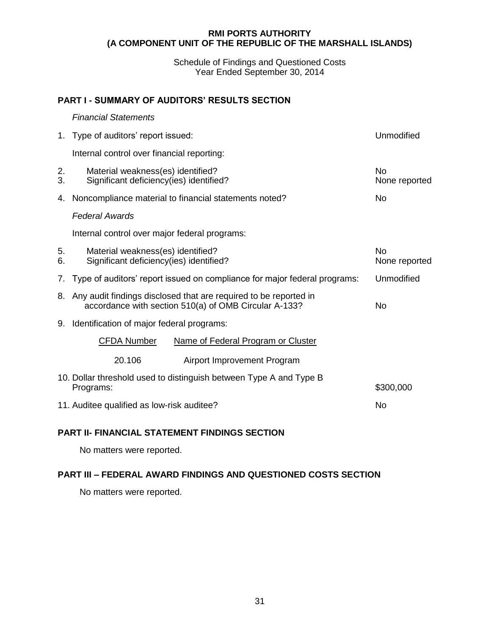Schedule of Findings and Questioned Costs Year Ended September 30, 2014

## **PART I - SUMMARY OF AUDITORS' RESULTS SECTION**

|          | <b>Financial Statements</b>                                                                                               |                            |  |  |
|----------|---------------------------------------------------------------------------------------------------------------------------|----------------------------|--|--|
| 1.       | Type of auditors' report issued:                                                                                          | Unmodified                 |  |  |
|          | Internal control over financial reporting:                                                                                |                            |  |  |
| 2.<br>3. | Material weakness(es) identified?<br>Significant deficiency(ies) identified?                                              | <b>No</b><br>None reported |  |  |
| 4.       | Noncompliance material to financial statements noted?                                                                     | No                         |  |  |
|          | <b>Federal Awards</b>                                                                                                     |                            |  |  |
|          | Internal control over major federal programs:                                                                             |                            |  |  |
| 5.<br>6. | Material weakness(es) identified?<br>Significant deficiency (ies) identified?                                             | <b>No</b><br>None reported |  |  |
| 7.       | Type of auditors' report issued on compliance for major federal programs:                                                 | Unmodified                 |  |  |
| 8.       | Any audit findings disclosed that are required to be reported in<br>accordance with section 510(a) of OMB Circular A-133? | No                         |  |  |
| 9.       | Identification of major federal programs:                                                                                 |                            |  |  |
|          | Name of Federal Program or Cluster<br><b>CFDA Number</b>                                                                  |                            |  |  |
|          | 20.106<br>Airport Improvement Program                                                                                     |                            |  |  |
|          | 10. Dollar threshold used to distinguish between Type A and Type B<br>Programs:                                           | \$300,000                  |  |  |
|          | 11. Auditee qualified as low-risk auditee?                                                                                | No                         |  |  |

# **PART II- FINANCIAL STATEMENT FINDINGS SECTION**

No matters were reported.

# **PART III – FEDERAL AWARD FINDINGS AND QUESTIONED COSTS SECTION**

No matters were reported.